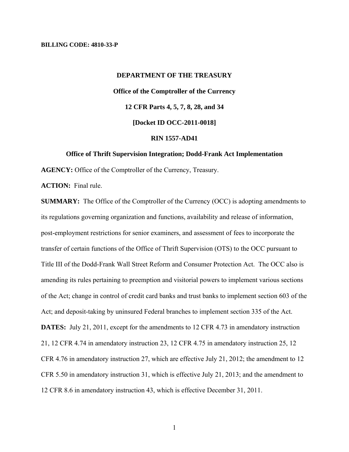#### **BILLING CODE: 4810-33-P**

# **DEPARTMENT OF THE TREASURY Office of the Comptroller of the Currency 12 CFR Parts 4, 5, 7, 8, 28, and 34 [Docket ID OCC-2011-0018] RIN 1557-AD41**

#### **Office of Thrift Supervision Integration; Dodd-Frank Act Implementation**

**AGENCY:** Office of the Comptroller of the Currency, Treasury.

**ACTION:** Final rule.

**SUMMARY:** The Office of the Comptroller of the Currency (OCC) is adopting amendments to its regulations governing organization and functions, availability and release of information, post-employment restrictions for senior examiners, and assessment of fees to incorporate the transfer of certain functions of the Office of Thrift Supervision (OTS) to the OCC pursuant to Title III of the Dodd-Frank Wall Street Reform and Consumer Protection Act. The OCC also is amending its rules pertaining to preemption and visitorial powers to implement various sections of the Act; change in control of credit card banks and trust banks to implement section 603 of the Act; and deposit-taking by uninsured Federal branches to implement section 335 of the Act. **DATES:** July 21, 2011, except for the amendments to 12 CFR 4.73 in amendatory instruction 21, 12 CFR 4.74 in amendatory instruction 23, 12 CFR 4.75 in amendatory instruction 25, 12 CFR 4.76 in amendatory instruction 27, which are effective July 21, 2012; the amendment to 12 CFR 5.50 in amendatory instruction 31, which is effective July 21, 2013; and the amendment to 12 CFR 8.6 in amendatory instruction 43, which is effective December 31, 2011.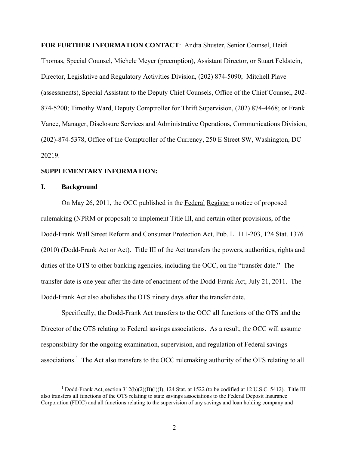**FOR FURTHER INFORMATION CONTACT**: Andra Shuster, Senior Counsel, Heidi Thomas, Special Counsel, Michele Meyer (preemption), Assistant Director, or Stuart Feldstein, Director, Legislative and Regulatory Activities Division, (202) 874-5090; Mitchell Plave (assessments), Special Assistant to the Deputy Chief Counsels, Office of the Chief Counsel, 202 874-5200; Timothy Ward, Deputy Comptroller for Thrift Supervision, (202) 874-4468; or Frank Vance, Manager, Disclosure Services and Administrative Operations, Communications Division, (202)-874-5378, Office of the Comptroller of the Currency, 250 E Street SW, Washington, DC 20219.

#### **SUPPLEMENTARY INFORMATION:**

## **I. Background**

On May 26, 2011, the OCC published in the Federal Register a notice of proposed rulemaking (NPRM or proposal) to implement Title III, and certain other provisions, of the Dodd-Frank Wall Street Reform and Consumer Protection Act, Pub. L. 111-203, 124 Stat. 1376 (2010) (Dodd-Frank Act or Act). Title III of the Act transfers the powers, authorities, rights and duties of the OTS to other banking agencies, including the OCC, on the "transfer date." The transfer date is one year after the date of enactment of the Dodd-Frank Act, July 21, 2011. The Dodd-Frank Act also abolishes the OTS ninety days after the transfer date.

Specifically, the Dodd-Frank Act transfers to the OCC all functions of the OTS and the Director of the OTS relating to Federal savings associations. As a result, the OCC will assume responsibility for the ongoing examination, supervision, and regulation of Federal savings associations.<sup>1</sup> The Act also transfers to the OCC rulemaking authority of the OTS relating to all

<sup>&</sup>lt;sup>1</sup> Dodd-Frank Act, section  $312(b)(2)(B)(i)(I)$ , 124 Stat. at 1522 (to be codified at 12 U.S.C. 5412). Title III also transfers all functions of the OTS relating to state savings associations to the Federal Deposit Insurance Corporation (FDIC) and all functions relating to the supervision of any savings and loan holding company and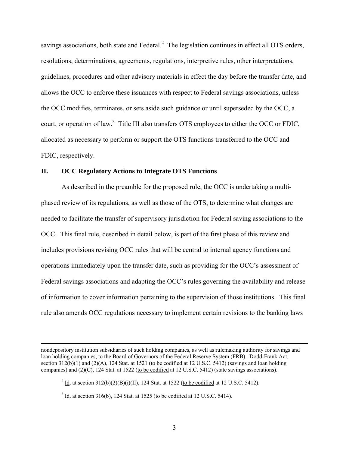savings associations, both state and Federal. $<sup>2</sup>$  The legislation continues in effect all OTS orders,</sup> resolutions, determinations, agreements, regulations, interpretive rules, other interpretations, guidelines, procedures and other advisory materials in effect the day before the transfer date, and allows the OCC to enforce these issuances with respect to Federal savings associations, unless the OCC modifies, terminates, or sets aside such guidance or until superseded by the OCC, a court, or operation of law.<sup>3</sup> Title III also transfers OTS employees to either the OCC or FDIC, allocated as necessary to perform or support the OTS functions transferred to the OCC and FDIC, respectively.

#### **II. OCC Regulatory Actions to Integrate OTS Functions**

As described in the preamble for the proposed rule, the OCC is undertaking a multiphased review of its regulations, as well as those of the OTS, to determine what changes are needed to facilitate the transfer of supervisory jurisdiction for Federal saving associations to the OCC. This final rule, described in detail below, is part of the first phase of this review and includes provisions revising OCC rules that will be central to internal agency functions and operations immediately upon the transfer date, such as providing for the OCC's assessment of Federal savings associations and adapting the OCC's rules governing the availability and release of information to cover information pertaining to the supervision of those institutions. This final rule also amends OCC regulations necessary to implement certain revisions to the banking laws

nondepository institution subsidiaries of such holding companies, as well as rulemaking authority for savings and loan holding companies, to the Board of Governors of the Federal Reserve System (FRB). Dodd-Frank Act, section 312(b)(1) and (2)(A), 124 Stat. at 1521 (to be codified at 12 U.S.C. 5412) (savings and loan holding companies) and (2)(C), 124 Stat. at 1522 (to be codified at 12 U.S.C. 5412) (state savings associations).

 $^{2}$  <u>Id</u>. at section 312(b)(2)(B)(i)(II), 124 Stat. at 1522 (to be codified at 12 U.S.C. 5412).

 $3 \underline{\text{Id}}$ . at section 316(b), 124 Stat. at 1525 (to be codified at 12 U.S.C. 5414).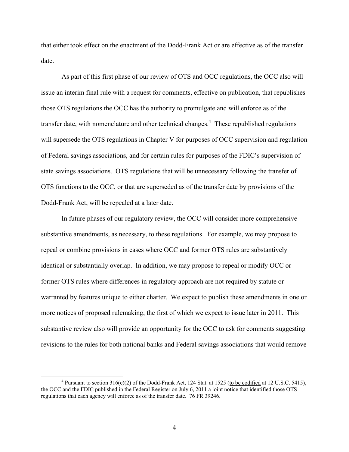that either took effect on the enactment of the Dodd-Frank Act or are effective as of the transfer date.

As part of this first phase of our review of OTS and OCC regulations, the OCC also will issue an interim final rule with a request for comments, effective on publication, that republishes those OTS regulations the OCC has the authority to promulgate and will enforce as of the transfer date, with nomenclature and other technical changes.<sup>4</sup> These republished regulations will supersede the OTS regulations in Chapter V for purposes of OCC supervision and regulation of Federal savings associations, and for certain rules for purposes of the FDIC's supervision of state savings associations. OTS regulations that will be unnecessary following the transfer of OTS functions to the OCC, or that are superseded as of the transfer date by provisions of the Dodd-Frank Act, will be repealed at a later date.

In future phases of our regulatory review, the OCC will consider more comprehensive substantive amendments, as necessary, to these regulations. For example, we may propose to repeal or combine provisions in cases where OCC and former OTS rules are substantively identical or substantially overlap. In addition, we may propose to repeal or modify OCC or former OTS rules where differences in regulatory approach are not required by statute or warranted by features unique to either charter. We expect to publish these amendments in one or more notices of proposed rulemaking, the first of which we expect to issue later in 2011. This substantive review also will provide an opportunity for the OCC to ask for comments suggesting revisions to the rules for both national banks and Federal savings associations that would remove

<sup>&</sup>lt;sup>4</sup> Pursuant to section  $316(c)(2)$  of the Dodd-Frank Act, 124 Stat. at 1525 (to be codified at 12 U.S.C. 5415), the OCC and the FDIC published in the Federal Register on July 6, 2011 a joint notice that identified those OTS regulations that each agency will enforce as of the transfer date. 76 FR 39246.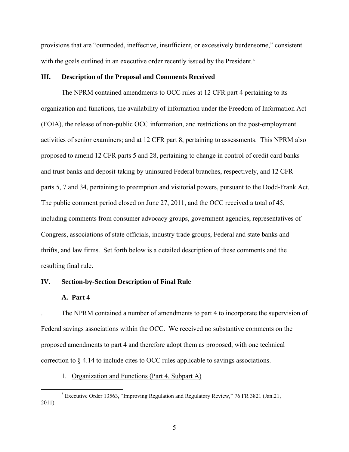provisions that are "outmoded, ineffective, insufficient, or excessively burdensome," consistent with the goals outlined in an executive order recently issued by the President.<sup>5</sup>

#### **III. Description of the Proposal and Comments Received**

The NPRM contained amendments to OCC rules at 12 CFR part 4 pertaining to its organization and functions, the availability of information under the Freedom of Information Act (FOIA), the release of non-public OCC information, and restrictions on the post-employment activities of senior examiners; and at 12 CFR part 8, pertaining to assessments. This NPRM also proposed to amend 12 CFR parts 5 and 28, pertaining to change in control of credit card banks and trust banks and deposit-taking by uninsured Federal branches, respectively, and 12 CFR parts 5, 7 and 34, pertaining to preemption and visitorial powers, pursuant to the Dodd-Frank Act. The public comment period closed on June 27, 2011, and the OCC received a total of 45, including comments from consumer advocacy groups, government agencies, representatives of Congress, associations of state officials, industry trade groups, Federal and state banks and thrifts, and law firms. Set forth below is a detailed description of these comments and the resulting final rule.

# **IV. Section-by-Section Description of Final Rule**

#### **A. Part 4**

The NPRM contained a number of amendments to part 4 to incorporate the supervision of Federal savings associations within the OCC. We received no substantive comments on the proposed amendments to part 4 and therefore adopt them as proposed, with one technical correction to § 4.14 to include cites to OCC rules applicable to savings associations.

#### 1. Organization and Functions (Part 4, Subpart A)

<sup>&</sup>lt;sup>5</sup> Executive Order 13563, "Improving Regulation and Regulatory Review," 76 FR 3821 (Jan.21, 2011).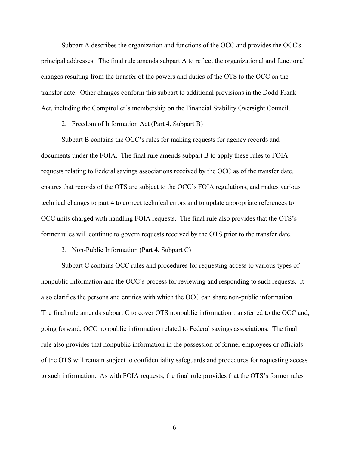Subpart A describes the organization and functions of the OCC and provides the OCC's principal addresses. The final rule amends subpart A to reflect the organizational and functional changes resulting from the transfer of the powers and duties of the OTS to the OCC on the transfer date. Other changes conform this subpart to additional provisions in the Dodd-Frank Act, including the Comptroller's membership on the Financial Stability Oversight Council.

#### 2. Freedom of Information Act (Part 4, Subpart B)

Subpart B contains the OCC's rules for making requests for agency records and documents under the FOIA. The final rule amends subpart B to apply these rules to FOIA requests relating to Federal savings associations received by the OCC as of the transfer date, ensures that records of the OTS are subject to the OCC's FOIA regulations, and makes various technical changes to part 4 to correct technical errors and to update appropriate references to OCC units charged with handling FOIA requests. The final rule also provides that the OTS's former rules will continue to govern requests received by the OTS prior to the transfer date.

#### 3. Non-Public Information (Part 4, Subpart C)

Subpart C contains OCC rules and procedures for requesting access to various types of nonpublic information and the OCC's process for reviewing and responding to such requests. It also clarifies the persons and entities with which the OCC can share non-public information. The final rule amends subpart C to cover OTS nonpublic information transferred to the OCC and, going forward, OCC nonpublic information related to Federal savings associations. The final rule also provides that nonpublic information in the possession of former employees or officials of the OTS will remain subject to confidentiality safeguards and procedures for requesting access to such information. As with FOIA requests, the final rule provides that the OTS's former rules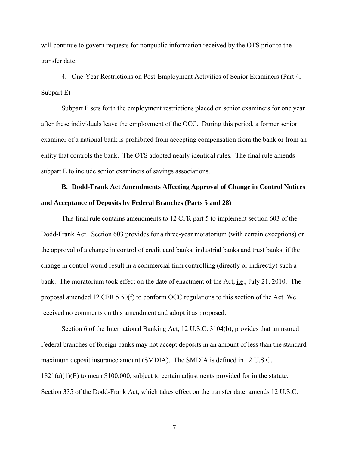will continue to govern requests for nonpublic information received by the OTS prior to the transfer date.

4. One-Year Restrictions on Post-Employment Activities of Senior Examiners (Part 4, Subpart E)

Subpart E sets forth the employment restrictions placed on senior examiners for one year after these individuals leave the employment of the OCC. During this period, a former senior examiner of a national bank is prohibited from accepting compensation from the bank or from an entity that controls the bank. The OTS adopted nearly identical rules. The final rule amends subpart E to include senior examiners of savings associations.

# **B. Dodd-Frank Act Amendments Affecting Approval of Change in Control Notices and Acceptance of Deposits by Federal Branches (Parts 5 and 28)**

This final rule contains amendments to 12 CFR part 5 to implement section 603 of the Dodd-Frank Act. Section 603 provides for a three-year moratorium (with certain exceptions) on the approval of a change in control of credit card banks, industrial banks and trust banks, if the change in control would result in a commercial firm controlling (directly or indirectly) such a bank. The moratorium took effect on the date of enactment of the Act, i.e., July 21, 2010. The proposal amended 12 CFR 5.50(f) to conform OCC regulations to this section of the Act. We received no comments on this amendment and adopt it as proposed.

Section 6 of the International Banking Act, 12 U.S.C. 3104(b), provides that uninsured Federal branches of foreign banks may not accept deposits in an amount of less than the standard maximum deposit insurance amount (SMDIA). The SMDIA is defined in 12 U.S.C. 1821(a)(1)(E) to mean \$100,000, subject to certain adjustments provided for in the statute. Section 335 of the Dodd-Frank Act, which takes effect on the transfer date, amends 12 U.S.C.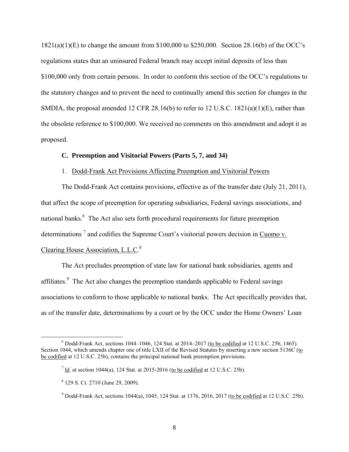1821(a)(1)(E) to change the amount from \$100,000 to \$250,000. Section 28.16(b) of the OCC's regulations states that an uninsured Federal branch may accept initial deposits of less than \$100,000 only from certain persons. In order to conform this section of the OCC's regulations to the statutory changes and to prevent the need to continually amend this section for changes in the SMDIA, the proposal amended 12 CFR 28.16(b) to refer to 12 U.S.C. 1821(a)(1)(E), rather than the obsolete reference to \$100,000. We received no comments on this amendment and adopt it as proposed.

# **C. Preemption and Visitorial Powers (Parts 5, 7, and 34)**

# 1. Dodd-Frank Act Provisions Affecting Preemption and Visitorial Powers

The Dodd-Frank Act contains provisions, effective as of the transfer date (July 21, 2011), that affect the scope of preemption for operating subsidiaries, Federal savings associations, and national banks.<sup>6</sup> The Act also sets forth procedural requirements for future preemption determinations<sup>7</sup> and codifies the Supreme Court's visitorial powers decision in Cuomo v. Clearing House Association, L.L.C.<sup>8</sup>

The Act precludes preemption of state law for national bank subsidiaries, agents and affiliates.<sup>9</sup> The Act also changes the preemption standards applicable to Federal savings associations to conform to those applicable to national banks. The Act specifically provides that, as of the transfer date, determinations by a court or by the OCC under the Home Owners' Loan

 $6$  Dodd-Frank Act, sections 1044–1046, 124 Stat. at 2014–2017 (to be codified at 12 U.S.C. 25b, 1465). Section 1044, which amends chapter one of title LXII of the Revised Statutes by inserting a new section 5136C (to be codified at 12 U.S.C. 25b), contains the principal national bank preemption provisions.

 $^{7}$  Id. at section 1044(a), 124 Stat. at 2015-2016 (to be codified at 12 U.S.C. 25b).

<sup>8 129</sup> S. Ct. 2710 (June 29, 2009).

<sup>&</sup>lt;sup>9</sup> Dodd-Frank Act, sections 1044(a), 1045, 124 Stat. at 1376, 2016, 2017 (to be codified at 12 U.S.C. 25b).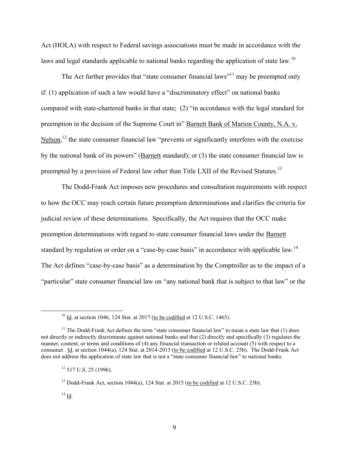Act (HOLA) with respect to Federal savings associations must be made in accordance with the laws and legal standards applicable to national banks regarding the application of state law.<sup>10</sup>

The Act further provides that "state consumer financial laws"<sup>11</sup> may be preempted only if: (1) application of such a law would have a "discriminatory effect" on national banks compared with state-chartered banks in that state; (2) "in accordance with the legal standard for preemption in the decision of the Supreme Court in" Barnett Bank of Marion County, N.A. v.  $Nelson<sup>12</sup>$ , the state consumer financial law "prevents or significantly interferes with the exercise by the national bank of its powers" (Barnett standard); or (3) the state consumer financial law is preempted by a provision of Federal law other than Title LXII of the Revised Statutes.<sup>13</sup>

The Dodd-Frank Act imposes new procedures and consultation requirements with respect to how the OCC may reach certain future preemption determinations and clarifies the criteria for judicial review of these determinations. Specifically, the Act requires that the OCC make preemption determinations with regard to state consumer financial laws under the Barnett standard by regulation or order on a "case-by-case basis" in accordance with applicable law.<sup>14</sup> The Act defines "case-by-case basis" as a determination by the Comptroller as to the impact of a "particular" state consumer financial law on "any national bank that is subject to that law" or the

 $10 \underline{\text{Id}}$ . at section 1046, 124 Stat. at 2017 (to be codified at 12 U.S.C. 1465).

<sup>&</sup>lt;sup>11</sup> The Dodd-Frank Act defines the term "state consumer financial law" to mean a state law that  $(1)$  does not directly or indirectly discriminate against national banks and that (2) directly and specifically (3) regulates the manner, content, or terms and conditions of (4) any financial transaction or related account (5) with respect to a consumer. Id. at section 1044(a), 124 Stat. at 2014-2015 (to be codified at 12 U.S.C. 25b). The Dodd-Frank Act does not address the application of state law that is not a "state consumer financial law" to national banks.

 $12$  517 U.S. 25 (1996).

 $^{13}$  Dodd-Frank Act, section 1044(a), 124 Stat. at 2015 (to be codified at 12 U.S.C. 25b).

 $14$  Id.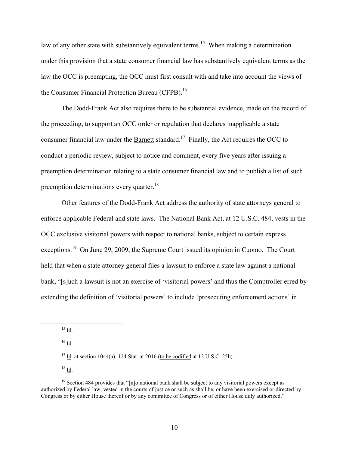law of any other state with substantively equivalent terms.<sup>15</sup> When making a determination under this provision that a state consumer financial law has substantively equivalent terms as the law the OCC is preempting, the OCC must first consult with and take into account the views of the Consumer Financial Protection Bureau (CFPB).<sup>16</sup>

The Dodd-Frank Act also requires there to be substantial evidence, made on the record of the proceeding, to support an OCC order or regulation that declares inapplicable a state consumer financial law under the Barnett standard.<sup>17</sup> Finally, the Act requires the OCC to conduct a periodic review, subject to notice and comment, every five years after issuing a preemption determination relating to a state consumer financial law and to publish a list of such preemption determinations every quarter.<sup>18</sup>

Other features of the Dodd-Frank Act address the authority of state attorneys general to enforce applicable Federal and state laws. The National Bank Act, at 12 U.S.C. 484, vests in the OCC exclusive visitorial powers with respect to national banks, subject to certain express exceptions.<sup>19</sup> On June 29, 2009, the Supreme Court issued its opinion in Cuomo. The Court held that when a state attorney general files a lawsuit to enforce a state law against a national bank, "[s]uch a lawsuit is not an exercise of 'visitorial powers' and thus the Comptroller erred by extending the definition of 'visitorial powers' to include 'prosecuting enforcement actions' in

 $^{15}$  Id.

 $16$  Id.

 $17$  Id. at section 1044(a), 124 Stat. at 2016 (to be codified at 12 U.S.C. 25b).

 $18$  Id.

 $19$  Section 484 provides that "[n]o national bank shall be subject to any visitorial powers except as authorized by Federal law, vested in the courts of justice or such as shall be, or have been exercised or directed by Congress or by either House thereof or by any committee of Congress or of either House duly authorized."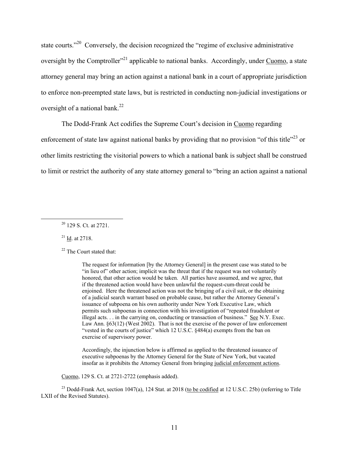state courts."<sup>20</sup> Conversely, the decision recognized the "regime of exclusive administrative" oversight by the Comptroller<sup> $21$ </sup> applicable to national banks. Accordingly, under Cuomo, a state attorney general may bring an action against a national bank in a court of appropriate jurisdiction to enforce non-preempted state laws, but is restricted in conducting non-judicial investigations or oversight of a national bank.<sup>22</sup>

The Dodd-Frank Act codifies the Supreme Court's decision in Cuomo regarding

enforcement of state law against national banks by providing that no provision "of this title"<sup>23</sup> or other limits restricting the visitorial powers to which a national bank is subject shall be construed to limit or restrict the authority of any state attorney general to "bring an action against a national

21 Id. at 2718.

<sup>22</sup> The Court stated that:

The request for information [by the Attorney General] in the present case was stated to be "in lieu of" other action; implicit was the threat that if the request was not voluntarily honored, that other action would be taken. All parties have assumed, and we agree, that if the threatened action would have been unlawful the request-cum-threat could be enjoined. Here the threatened action was not the bringing of a civil suit, or the obtaining of a judicial search warrant based on probable cause, but rather the Attorney General's issuance of subpoena on his own authority under New York Executive Law, which permits such subpoenas in connection with his investigation of "repeated fraudulent or illegal acts. . . in the carrying on, conducting or transaction of business." See N.Y. Exec. Law Ann. §63(12) (West 2002). That is not the exercise of the power of law enforcement "vested in the courts of justice" which 12 U.S.C. §484(a) exempts from the ban on exercise of supervisory power.

Accordingly, the injunction below is affirmed as applied to the threatened issuance of executive subpoenas by the Attorney General for the State of New York, but vacated insofar as it prohibits the Attorney General from bringing judicial enforcement actions.

Cuomo, 129 S. Ct. at 2721-2722 (emphasis added).

<sup>23</sup> Dodd-Frank Act, section 1047(a), 124 Stat. at 2018 (to be codified at 12 U.S.C. 25b) (referring to Title LXII of the Revised Statutes).

 $20$  129 S. Ct. at 2721.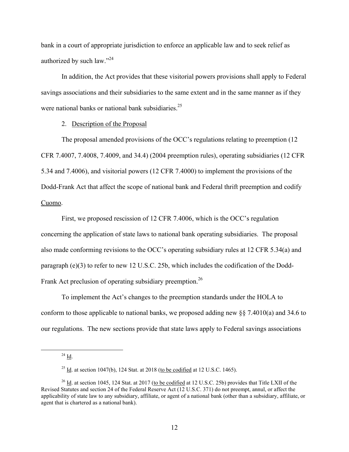bank in a court of appropriate jurisdiction to enforce an applicable law and to seek relief as authorized by such law."<sup>24</sup>

In addition, the Act provides that these visitorial powers provisions shall apply to Federal savings associations and their subsidiaries to the same extent and in the same manner as if they were national banks or national bank subsidiaries.<sup>25</sup>

#### 2. Description of the Proposal

The proposal amended provisions of the OCC's regulations relating to preemption (12 CFR 7.4007, 7.4008, 7.4009, and 34.4) (2004 preemption rules), operating subsidiaries (12 CFR 5.34 and 7.4006), and visitorial powers (12 CFR 7.4000) to implement the provisions of the Dodd-Frank Act that affect the scope of national bank and Federal thrift preemption and codify Cuomo.

First, we proposed rescission of 12 CFR 7.4006, which is the OCC's regulation concerning the application of state laws to national bank operating subsidiaries. The proposal also made conforming revisions to the OCC's operating subsidiary rules at 12 CFR 5.34(a) and paragraph (e)(3) to refer to new 12 U.S.C. 25b, which includes the codification of the Dodd-Frank Act preclusion of operating subsidiary preemption.<sup>26</sup>

To implement the Act's changes to the preemption standards under the HOLA to conform to those applicable to national banks, we proposed adding new §§ 7.4010(a) and 34.6 to our regulations. The new sections provide that state laws apply to Federal savings associations

<sup>25</sup> Id. at section 1047(b), 124 Stat. at 2018 (to be codified at 12 U.S.C. 1465).

 $^{24}$  Id.

<sup>&</sup>lt;sup>26</sup> Id. at section 1045, 124 Stat. at 2017 (to be codified at 12 U.S.C. 25b) provides that Title LXII of the Revised Statutes and section 24 of the Federal Reserve Act (12 U.S.C. 371) do not preempt, annul, or affect the applicability of state law to any subsidiary, affiliate, or agent of a national bank (other than a subsidiary, affiliate, or agent that is chartered as a national bank).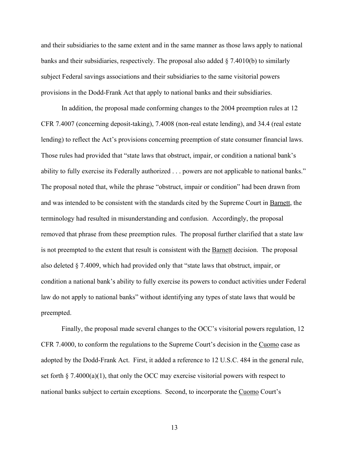and their subsidiaries to the same extent and in the same manner as those laws apply to national banks and their subsidiaries, respectively. The proposal also added  $\S$  7.4010(b) to similarly subject Federal savings associations and their subsidiaries to the same visitorial powers provisions in the Dodd-Frank Act that apply to national banks and their subsidiaries.

In addition, the proposal made conforming changes to the 2004 preemption rules at 12 CFR 7.4007 (concerning deposit-taking), 7.4008 (non-real estate lending), and 34.4 (real estate lending) to reflect the Act's provisions concerning preemption of state consumer financial laws. Those rules had provided that "state laws that obstruct, impair, or condition a national bank's ability to fully exercise its Federally authorized . . . powers are not applicable to national banks." The proposal noted that, while the phrase "obstruct, impair or condition" had been drawn from and was intended to be consistent with the standards cited by the Supreme Court in Barnett, the terminology had resulted in misunderstanding and confusion. Accordingly, the proposal removed that phrase from these preemption rules. The proposal further clarified that a state law is not preempted to the extent that result is consistent with the Barnett decision. The proposal also deleted § 7.4009, which had provided only that "state laws that obstruct, impair, or condition a national bank's ability to fully exercise its powers to conduct activities under Federal law do not apply to national banks" without identifying any types of state laws that would be preempted.

Finally, the proposal made several changes to the OCC's visitorial powers regulation, 12 CFR 7.4000, to conform the regulations to the Supreme Court's decision in the Cuomo case as adopted by the Dodd-Frank Act. First, it added a reference to 12 U.S.C. 484 in the general rule, set forth  $\S$  7.4000(a)(1), that only the OCC may exercise visitorial powers with respect to national banks subject to certain exceptions. Second, to incorporate the Cuomo Court's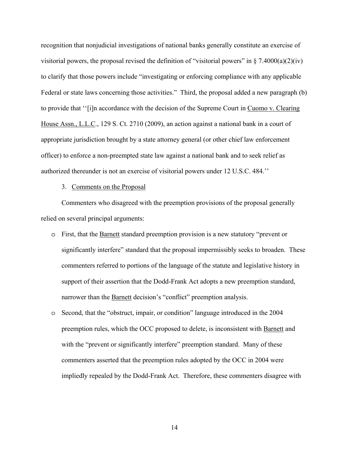recognition that nonjudicial investigations of national banks generally constitute an exercise of visitorial powers, the proposal revised the definition of "visitorial powers" in  $\S$  7.4000(a)(2)(iv) to clarify that those powers include "investigating or enforcing compliance with any applicable Federal or state laws concerning those activities." Third, the proposal added a new paragraph (b) to provide that ''[i]n accordance with the decision of the Supreme Court in Cuomo v. Clearing House Assn., L.L.C., 129 S. Ct. 2710 (2009), an action against a national bank in a court of appropriate jurisdiction brought by a state attorney general (or other chief law enforcement officer) to enforce a non-preempted state law against a national bank and to seek relief as authorized thereunder is not an exercise of visitorial powers under 12 U.S.C. 484.''

3. Comments on the Proposal

Commenters who disagreed with the preemption provisions of the proposal generally relied on several principal arguments:

- o First, that the Barnett standard preemption provision is a new statutory "prevent or significantly interfere" standard that the proposal impermissibly seeks to broaden. These commenters referred to portions of the language of the statute and legislative history in support of their assertion that the Dodd-Frank Act adopts a new preemption standard, narrower than the Barnett decision's "conflict" preemption analysis.
- o Second, that the "obstruct, impair, or condition" language introduced in the 2004 preemption rules, which the OCC proposed to delete, is inconsistent with Barnett and with the "prevent or significantly interfere" preemption standard. Many of these commenters asserted that the preemption rules adopted by the OCC in 2004 were impliedly repealed by the Dodd-Frank Act. Therefore, these commenters disagree with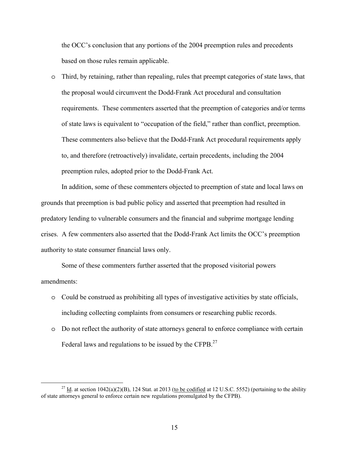the OCC's conclusion that any portions of the 2004 preemption rules and precedents based on those rules remain applicable.

 $\circ$  Third, by retaining, rather than repealing, rules that preempt categories of state laws, that the proposal would circumvent the Dodd-Frank Act procedural and consultation requirements. These commenters asserted that the preemption of categories and/or terms of state laws is equivalent to "occupation of the field," rather than conflict, preemption. These commenters also believe that the Dodd-Frank Act procedural requirements apply to, and therefore (retroactively) invalidate, certain precedents, including the 2004 preemption rules, adopted prior to the Dodd-Frank Act.

In addition, some of these commenters objected to preemption of state and local laws on grounds that preemption is bad public policy and asserted that preemption had resulted in predatory lending to vulnerable consumers and the financial and subprime mortgage lending crises. A few commenters also asserted that the Dodd-Frank Act limits the OCC's preemption authority to state consumer financial laws only.

Some of these commenters further asserted that the proposed visitorial powers amendments:

- o Could be construed as prohibiting all types of investigative activities by state officials, including collecting complaints from consumers or researching public records.
- o Do not reflect the authority of state attorneys general to enforce compliance with certain Federal laws and regulations to be issued by the CFPB.<sup>27</sup>

 $^{27}$  Id. at section 1042(a)(2)(B), 124 Stat. at 2013 (to be codified at 12 U.S.C. 5552) (pertaining to the ability of state attorneys general to enforce certain new regulations promulgated by the CFPB).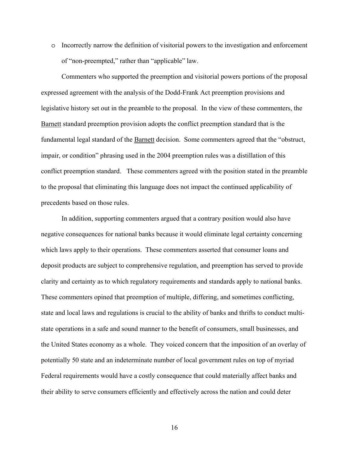o Incorrectly narrow the definition of visitorial powers to the investigation and enforcement of "non-preempted," rather than "applicable" law.

Commenters who supported the preemption and visitorial powers portions of the proposal expressed agreement with the analysis of the Dodd-Frank Act preemption provisions and legislative history set out in the preamble to the proposal. In the view of these commenters, the Barnett standard preemption provision adopts the conflict preemption standard that is the fundamental legal standard of the Barnett decision. Some commenters agreed that the "obstruct, impair, or condition" phrasing used in the 2004 preemption rules was a distillation of this conflict preemption standard. These commenters agreed with the position stated in the preamble to the proposal that eliminating this language does not impact the continued applicability of precedents based on those rules.

In addition, supporting commenters argued that a contrary position would also have negative consequences for national banks because it would eliminate legal certainty concerning which laws apply to their operations. These commenters asserted that consumer loans and deposit products are subject to comprehensive regulation, and preemption has served to provide clarity and certainty as to which regulatory requirements and standards apply to national banks. These commenters opined that preemption of multiple, differing, and sometimes conflicting, state and local laws and regulations is crucial to the ability of banks and thrifts to conduct multistate operations in a safe and sound manner to the benefit of consumers, small businesses, and the United States economy as a whole. They voiced concern that the imposition of an overlay of potentially 50 state and an indeterminate number of local government rules on top of myriad Federal requirements would have a costly consequence that could materially affect banks and their ability to serve consumers efficiently and effectively across the nation and could deter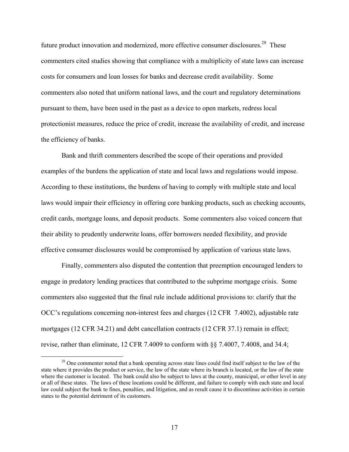future product innovation and modernized, more effective consumer disclosures.<sup>28</sup> These commenters cited studies showing that compliance with a multiplicity of state laws can increase costs for consumers and loan losses for banks and decrease credit availability. Some commenters also noted that uniform national laws, and the court and regulatory determinations pursuant to them, have been used in the past as a device to open markets, redress local protectionist measures, reduce the price of credit, increase the availability of credit, and increase the efficiency of banks.

Bank and thrift commenters described the scope of their operations and provided examples of the burdens the application of state and local laws and regulations would impose. According to these institutions, the burdens of having to comply with multiple state and local laws would impair their efficiency in offering core banking products, such as checking accounts, credit cards, mortgage loans, and deposit products. Some commenters also voiced concern that their ability to prudently underwrite loans, offer borrowers needed flexibility, and provide effective consumer disclosures would be compromised by application of various state laws.

Finally, commenters also disputed the contention that preemption encouraged lenders to engage in predatory lending practices that contributed to the subprime mortgage crisis. Some commenters also suggested that the final rule include additional provisions to: clarify that the OCC's regulations concerning non-interest fees and charges (12 CFR 7.4002), adjustable rate mortgages (12 CFR 34.21) and debt cancellation contracts (12 CFR 37.1) remain in effect; revise, rather than eliminate, 12 CFR 7.4009 to conform with §§ 7.4007, 7.4008, and 34.4;

<sup>&</sup>lt;sup>28</sup> One commenter noted that a bank operating across state lines could find itself subject to the law of the state where it provides the product or service, the law of the state where its branch is located, or the law of the state where the customer is located. The bank could also be subject to laws at the county, municipal, or other level in any or all of these states. The laws of these locations could be different, and failure to comply with each state and local law could subject the bank to fines, penalties, and litigation, and as result cause it to discontinue activities in certain states to the potential detriment of its customers.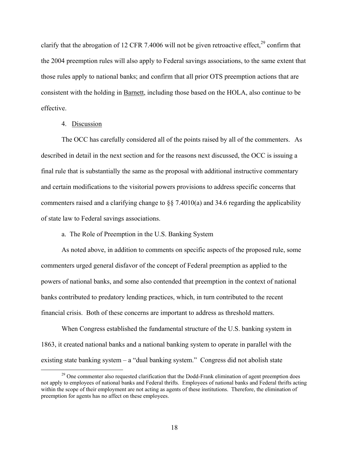clarify that the abrogation of 12 CFR 7.4006 will not be given retroactive effect, $29$  confirm that the 2004 preemption rules will also apply to Federal savings associations, to the same extent that those rules apply to national banks; and confirm that all prior OTS preemption actions that are consistent with the holding in Barnett, including those based on the HOLA, also continue to be effective.

## 4. Discussion

The OCC has carefully considered all of the points raised by all of the commenters. As described in detail in the next section and for the reasons next discussed, the OCC is issuing a final rule that is substantially the same as the proposal with additional instructive commentary and certain modifications to the visitorial powers provisions to address specific concerns that commenters raised and a clarifying change to §§ 7.4010(a) and 34.6 regarding the applicability of state law to Federal savings associations.

a. The Role of Preemption in the U.S. Banking System

As noted above, in addition to comments on specific aspects of the proposed rule, some commenters urged general disfavor of the concept of Federal preemption as applied to the powers of national banks, and some also contended that preemption in the context of national banks contributed to predatory lending practices, which, in turn contributed to the recent financial crisis. Both of these concerns are important to address as threshold matters.

When Congress established the fundamental structure of the U.S. banking system in 1863, it created national banks and a national banking system to operate in parallel with the existing state banking system – a "dual banking system." Congress did not abolish state

<sup>&</sup>lt;sup>29</sup> One commenter also requested clarification that the Dodd-Frank elimination of agent preemption does not apply to employees of national banks and Federal thrifts. Employees of national banks and Federal thrifts acting within the scope of their employment are not acting as agents of these institutions. Therefore, the elimination of preemption for agents has no affect on these employees.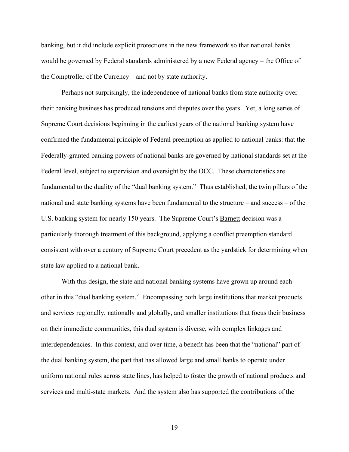banking, but it did include explicit protections in the new framework so that national banks would be governed by Federal standards administered by a new Federal agency – the Office of the Comptroller of the Currency – and not by state authority.

Perhaps not surprisingly, the independence of national banks from state authority over their banking business has produced tensions and disputes over the years. Yet, a long series of Supreme Court decisions beginning in the earliest years of the national banking system have confirmed the fundamental principle of Federal preemption as applied to national banks: that the Federally-granted banking powers of national banks are governed by national standards set at the Federal level, subject to supervision and oversight by the OCC. These characteristics are fundamental to the duality of the "dual banking system." Thus established, the twin pillars of the national and state banking systems have been fundamental to the structure – and success – of the U.S. banking system for nearly 150 years. The Supreme Court's Barnett decision was a particularly thorough treatment of this background, applying a conflict preemption standard consistent with over a century of Supreme Court precedent as the yardstick for determining when state law applied to a national bank.

With this design, the state and national banking systems have grown up around each other in this "dual banking system." Encompassing both large institutions that market products and services regionally, nationally and globally, and smaller institutions that focus their business on their immediate communities, this dual system is diverse, with complex linkages and interdependencies. In this context, and over time, a benefit has been that the "national" part of the dual banking system, the part that has allowed large and small banks to operate under uniform national rules across state lines, has helped to foster the growth of national products and services and multi-state markets. And the system also has supported the contributions of the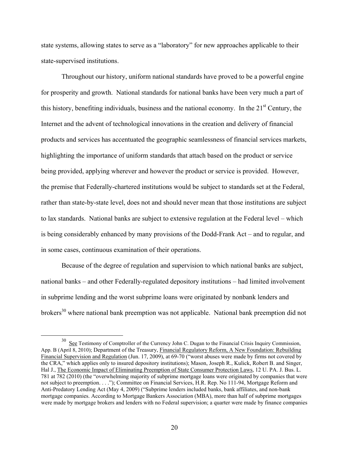state systems, allowing states to serve as a "laboratory" for new approaches applicable to their state-supervised institutions.

Throughout our history, uniform national standards have proved to be a powerful engine for prosperity and growth. National standards for national banks have been very much a part of this history, benefiting individuals, business and the national economy. In the  $21<sup>st</sup>$  Century, the Internet and the advent of technological innovations in the creation and delivery of financial products and services has accentuated the geographic seamlessness of financial services markets, highlighting the importance of uniform standards that attach based on the product or service being provided, applying wherever and however the product or service is provided. However, the premise that Federally-chartered institutions would be subject to standards set at the Federal, rather than state-by-state level, does not and should never mean that those institutions are subject to lax standards. National banks are subject to extensive regulation at the Federal level – which is being considerably enhanced by many provisions of the Dodd-Frank Act – and to regular, and in some cases, continuous examination of their operations.

Because of the degree of regulation and supervision to which national banks are subject, national banks – and other Federally-regulated depository institutions – had limited involvement in subprime lending and the worst subprime loans were originated by nonbank lenders and brokers<sup>30</sup> where national bank preemption was not applicable. National bank preemption did not

See Testimony of Comptroller of the Currency John C. Dugan to the Financial Crisis Inquiry Commission, App. B (April 8, 2010); Department of the Treasury, Financial Regulatory Reform, A New Foundation: Rebuilding Financial Supervision and Regulation (Jun. 17, 2009), at 69-70 ("worst abuses were made by firms not covered by the CRA," which applies only to insured depository institutions); Mason, Joseph R., Kulick, Robert B. and Singer, Hal J., The Economic Impact of Eliminating Preemption of State Consumer Protection Laws, 12 U. PA. J. Bus. L. 781 at 782 (2010) (the "overwhelming majority of subprime mortgage loans were originated by companies that were not subject to preemption. . . ."); Committee on Financial Services, H.R. Rep. No 111-94, Mortgage Reform and Anti-Predatory Lending Act (May 4, 2009) ("Subprime lenders included banks, bank affiliates, and non-bank mortgage companies. According to Mortgage Bankers Association (MBA), more than half of subprime mortgages were made by mortgage brokers and lenders with no Federal supervision; a quarter were made by finance companies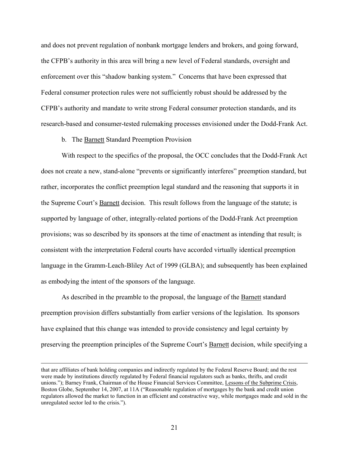and does not prevent regulation of nonbank mortgage lenders and brokers, and going forward, the CFPB's authority in this area will bring a new level of Federal standards, oversight and enforcement over this "shadow banking system." Concerns that have been expressed that Federal consumer protection rules were not sufficiently robust should be addressed by the CFPB's authority and mandate to write strong Federal consumer protection standards, and its research-based and consumer-tested rulemaking processes envisioned under the Dodd-Frank Act.

b. The Barnett Standard Preemption Provision

With respect to the specifics of the proposal, the OCC concludes that the Dodd-Frank Act does not create a new, stand-alone "prevents or significantly interferes" preemption standard, but rather, incorporates the conflict preemption legal standard and the reasoning that supports it in the Supreme Court's Barnett decision. This result follows from the language of the statute; is supported by language of other, integrally-related portions of the Dodd-Frank Act preemption provisions; was so described by its sponsors at the time of enactment as intending that result; is consistent with the interpretation Federal courts have accorded virtually identical preemption language in the Gramm-Leach-Bliley Act of 1999 (GLBA); and subsequently has been explained as embodying the intent of the sponsors of the language.

As described in the preamble to the proposal, the language of the Barnett standard preemption provision differs substantially from earlier versions of the legislation. Its sponsors have explained that this change was intended to provide consistency and legal certainty by preserving the preemption principles of the Supreme Court's Barnett decision, while specifying a

that are affiliates of bank holding companies and indirectly regulated by the Federal Reserve Board; and the rest were made by institutions directly regulated by Federal financial regulators such as banks, thrifts, and credit unions."); Barney Frank, Chairman of the House Financial Services Committee, Lessons of the Subprime Crisis, Boston Globe, September 14, 2007, at 11A ("Reasonable regulation of mortgages by the bank and credit union regulators allowed the market to function in an efficient and constructive way, while mortgages made and sold in the unregulated sector led to the crisis.").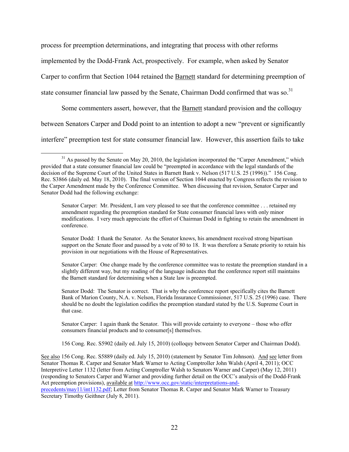process for preemption determinations, and integrating that process with other reforms implemented by the Dodd-Frank Act, prospectively. For example, when asked by Senator Carper to confirm that Section 1044 retained the Barnett standard for determining preemption of state consumer financial law passed by the Senate, Chairman Dodd confirmed that was so.<sup>31</sup>

Some commenters assert, however, that the Barnett standard provision and the colloquy between Senators Carper and Dodd point to an intention to adopt a new "prevent or significantly interfere" preemption test for state consumer financial law. However, this assertion fails to take

precedents/may11/int1132.pdf; Letter from Senator Thomas R. Carper and Senator Mark Warner to Treasury Secretary Timothy Geithner (July 8, 2011).

 $31$  As passed by the Senate on May 20, 2010, the legislation incorporated the "Carper Amendment," which provided that a state consumer financial law could be "preempted in accordance with the legal standards of the decision of the Supreme Court of the United States in Barnett Bank v. Nelson (517 U.S. 25 (1996))." 156 Cong. Rec. S3866 (daily ed. May 18, 2010). The final version of Section 1044 enacted by Congress reflects the revision to the Carper Amendment made by the Conference Committee. When discussing that revision, Senator Carper and Senator Dodd had the following exchange:

Senator Carper: Mr. President, I am very pleased to see that the conference committee . . . retained my amendment regarding the preemption standard for State consumer financial laws with only minor modifications. I very much appreciate the effort of Chairman Dodd in fighting to retain the amendment in conference.

Senator Dodd: I thank the Senator. As the Senator knows, his amendment received strong bipartisan support on the Senate floor and passed by a vote of 80 to 18. It was therefore a Senate priority to retain his provision in our negotiations with the House of Representatives.

Senator Carper: One change made by the conference committee was to restate the preemption standard in a slightly different way, but my reading of the language indicates that the conference report still maintains the Barnett standard for determining when a State law is preempted.

Senator Dodd: The Senator is correct. That is why the conference report specifically cites the Barnett Bank of Marion County, N.A. v. Nelson, Florida Insurance Commissioner, 517 U.S. 25 (1996) case. There should be no doubt the legislation codifies the preemption standard stated by the U.S. Supreme Court in that case.

Senator Carper: I again thank the Senator. This will provide certainty to everyone – those who offer consumers financial products and to consumer[s] themselves.

<sup>156</sup> Cong. Rec. S5902 (daily ed. July 15, 2010) (colloquy between Senator Carper and Chairman Dodd).

See also 156 Cong. Rec. S5889 (daily ed. July 15, 2010) (statement by Senator Tim Johnson). And see letter from Senator Thomas R. Carper and Senator Mark Warner to Acting Comptroller John Walsh (April 4, 2011); OCC Interpretive Letter 1132 (letter from Acting Comptroller Walsh to Senators Warner and Carper) (May 12, 2011) (responding to Senators Carper and Warner and providing further detail on the OCC's analysis of the Dodd-Frank Act preemption provisions), available at http://www.occ.gov/static/interpretations-and-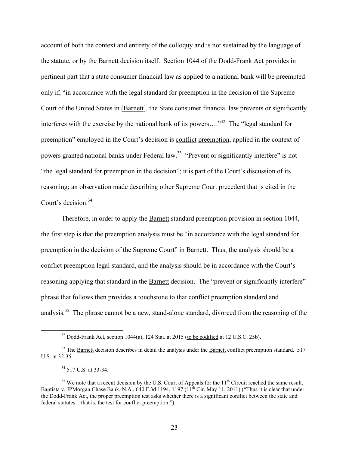account of both the context and entirety of the colloquy and is not sustained by the language of the statute, or by the Barnett decision itself. Section 1044 of the Dodd-Frank Act provides in pertinent part that a state consumer financial law as applied to a national bank will be preempted only if, "in accordance with the legal standard for preemption in the decision of the Supreme Court of the United States in [Barnett], the State consumer financial law prevents or significantly interferes with the exercise by the national bank of its powers...."<sup>32</sup> The "legal standard for preemption" employed in the Court's decision is conflict preemption, applied in the context of powers granted national banks under Federal law.33 "Prevent or significantly interfere" is not "the legal standard for preemption in the decision"; it is part of the Court's discussion of its reasoning; an observation made describing other Supreme Court precedent that is cited in the Court's decision.<sup>34</sup>

Therefore, in order to apply the Barnett standard preemption provision in section 1044, the first step is that the preemption analysis must be "in accordance with the legal standard for preemption in the decision of the Supreme Court" in Barnett. Thus, the analysis should be a conflict preemption legal standard, and the analysis should be in accordance with the Court's reasoning applying that standard in the Barnett decision. The "prevent or significantly interfere" phrase that follows then provides a touchstone to that conflict preemption standard and analysis.<sup>35</sup> The phrase cannot be a new, stand-alone standard, divorced from the reasoning of the

 $32$  Dodd-Frank Act, section 1044(a), 124 Stat. at 2015 (to be codified at 12 U.S.C. 25b).

<sup>&</sup>lt;sup>33</sup> The Barnett decision describes in detail the analysis under the Barnett conflict preemption standard. 517 U.S. at 32-35.

 $34\,517$  U.S. at 33-34.

 $35$  We note that a recent decision by the U.S. Court of Appeals for the  $11<sup>th</sup>$  Circuit reached the same result. Baptista v. JPMorgan Chase Bank, N.A., 640 F.3d 1194, 1197 (11<sup>th</sup> Cir. May 11, 2011) ("Thus it is clear that under the Dodd-Frank Act, the proper preemption test asks whether there is a significant conflict between the state and federal statutes—that is, the test for conflict preemption.").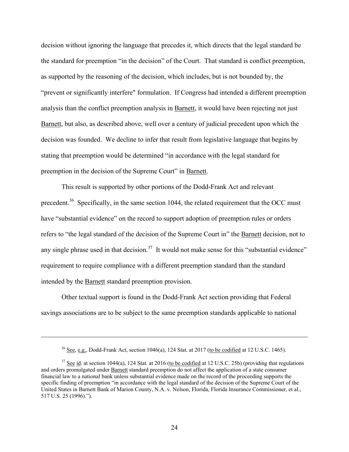decision without ignoring the language that precedes it, which directs that the legal standard be the standard for preemption "in the decision" of the Court. That standard is conflict preemption, as supported by the reasoning of the decision, which includes, but is not bounded by, the "prevent or significantly interfere" formulation. If Congress had intended a different preemption analysis than the conflict preemption analysis in Barnett, it would have been rejecting not just Barnett, but also, as described above, well over a century of judicial precedent upon which the decision was founded. We decline to infer that result from legislative language that begins by stating that preemption would be determined "in accordance with the legal standard for preemption in the decision of the Supreme Court" in Barnett.

This result is supported by other portions of the Dodd-Frank Act and relevant precedent.<sup>36</sup> Specifically, in the same section 1044, the related requirement that the OCC must have "substantial evidence" on the record to support adoption of preemption rules or orders refers to "the legal standard of the decision of the Supreme Court in" the Barnett decision, not to any single phrase used in that decision.<sup>37</sup> It would not make sense for this "substantial evidence" requirement to require compliance with a different preemption standard than the standard intended by the Barnett standard preemption provision.

Other textual support is found in the Dodd-Frank Act section providing that Federal savings associations are to be subject to the same preemption standards applicable to national

 $36$  See, e.g., Dodd-Frank Act, section 1046(a), 124 Stat. at 2017 (to be codified at 12 U.S.C. 1465).

 $37$  See id. at section 1044(a), 124 Stat. at 2016 (to be codified at 12 U.S.C. 25b) (providing that regulations and orders promulgated under Barnett standard preemption do not affect the application of a state consumer financial law to a national bank unless substantial evidence made on the record of the proceeding supports the specific finding of preemption "in accordance with the legal standard of the decision of the Supreme Court of the United States in Barnett Bank of Marion County, N.A. v. Nelson, Florida, Florida Insurance Commissioner, et al., 517 U.S. 25 (1996).").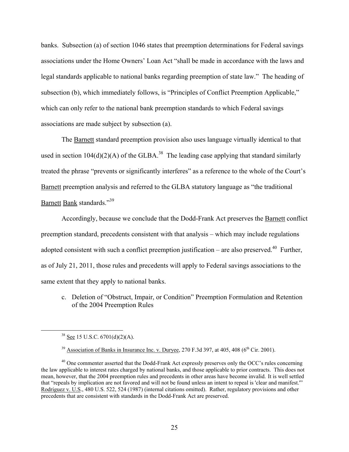banks. Subsection (a) of section 1046 states that preemption determinations for Federal savings associations under the Home Owners' Loan Act "shall be made in accordance with the laws and legal standards applicable to national banks regarding preemption of state law." The heading of subsection (b), which immediately follows, is "Principles of Conflict Preemption Applicable," which can only refer to the national bank preemption standards to which Federal savings associations are made subject by subsection (a).

The Barnett standard preemption provision also uses language virtually identical to that used in section  $104(d)(2)(A)$  of the GLBA.<sup>38</sup> The leading case applying that standard similarly treated the phrase "prevents or significantly interferes" as a reference to the whole of the Court's Barnett preemption analysis and referred to the GLBA statutory language as "the traditional Barnett Bank standards."<sup>39</sup>

Accordingly, because we conclude that the Dodd-Frank Act preserves the Barnett conflict preemption standard, precedents consistent with that analysis – which may include regulations adopted consistent with such a conflict preemption justification – are also preserved.<sup>40</sup> Further, as of July 21, 2011, those rules and precedents will apply to Federal savings associations to the same extent that they apply to national banks.

c. Deletion of "Obstruct, Impair, or Condition" Preemption Formulation and Retention of the 2004 Preemption Rules

 $38$  See 15 U.S.C. 6701(d)(2)(A).

<sup>&</sup>lt;sup>39</sup> Association of Banks in Insurance Inc. v. Duryee, 270 F.3d 397, at 405, 408 ( $6<sup>th</sup>$  Cir. 2001).

<sup>&</sup>lt;sup>40</sup> One commenter asserted that the Dodd-Frank Act expressly preserves only the OCC's rules concerning the law applicable to interest rates charged by national banks, and those applicable to prior contracts. This does not mean, however, that the 2004 preemption rules and precedents in other areas have become invalid. It is well settled that "repeals by implication are not favored and will not be found unless an intent to repeal is 'clear and manifest.'" Rodriguez v. U.S., 480 U.S. 522, 524 (1987) (internal citations omitted). Rather, regulatory provisions and other precedents that are consistent with standards in the Dodd-Frank Act are preserved.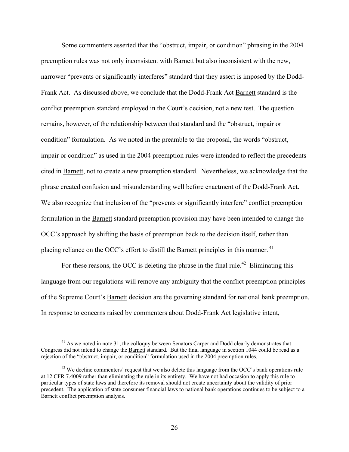Some commenters asserted that the "obstruct, impair, or condition" phrasing in the 2004 preemption rules was not only inconsistent with Barnett but also inconsistent with the new, narrower "prevents or significantly interferes" standard that they assert is imposed by the Dodd-Frank Act. As discussed above, we conclude that the Dodd-Frank Act Barnett standard is the conflict preemption standard employed in the Court's decision, not a new test. The question remains, however, of the relationship between that standard and the "obstruct, impair or condition" formulation. As we noted in the preamble to the proposal, the words "obstruct, impair or condition" as used in the 2004 preemption rules were intended to reflect the precedents cited in Barnett, not to create a new preemption standard. Nevertheless, we acknowledge that the phrase created confusion and misunderstanding well before enactment of the Dodd-Frank Act. We also recognize that inclusion of the "prevents or significantly interfere" conflict preemption formulation in the Barnett standard preemption provision may have been intended to change the OCC's approach by shifting the basis of preemption back to the decision itself, rather than placing reliance on the OCC's effort to distill the Barnett principles in this manner.<sup>41</sup>

For these reasons, the OCC is deleting the phrase in the final rule.<sup>42</sup> Eliminating this language from our regulations will remove any ambiguity that the conflict preemption principles of the Supreme Court's Barnett decision are the governing standard for national bank preemption. In response to concerns raised by commenters about Dodd-Frank Act legislative intent,

<sup>&</sup>lt;sup>41</sup> As we noted in note 31, the colloquy between Senators Carper and Dodd clearly demonstrates that Congress did not intend to change the Barnett standard. But the final language in section 1044 could be read as a rejection of the "obstruct, impair, or condition" formulation used in the 2004 preemption rules.

 $42$  We decline commenters' request that we also delete this language from the OCC's bank operations rule at 12 CFR 7.4009 rather than eliminating the rule in its entirety. We have not had occasion to apply this rule to particular types of state laws and therefore its removal should not create uncertainty about the validity of prior precedent. The application of state consumer financial laws to national bank operations continues to be subject to a Barnett conflict preemption analysis.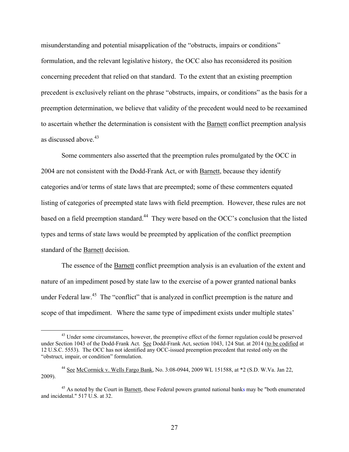misunderstanding and potential misapplication of the "obstructs, impairs or conditions" formulation, and the relevant legislative history, the OCC also has reconsidered its position concerning precedent that relied on that standard. To the extent that an existing preemption precedent is exclusively reliant on the phrase "obstructs, impairs, or conditions" as the basis for a preemption determination, we believe that validity of the precedent would need to be reexamined to ascertain whether the determination is consistent with the Barnett conflict preemption analysis as discussed above.<sup>43</sup>

Some commenters also asserted that the preemption rules promulgated by the OCC in 2004 are not consistent with the Dodd-Frank Act, or with Barnett, because they identify categories and/or terms of state laws that are preempted; some of these commenters equated listing of categories of preempted state laws with field preemption. However, these rules are not based on a field preemption standard.<sup>44</sup> They were based on the OCC's conclusion that the listed types and terms of state laws would be preempted by application of the conflict preemption standard of the Barnett decision.

The essence of the **Barnett** conflict preemption analysis is an evaluation of the extent and nature of an impediment posed by state law to the exercise of a power granted national banks under Federal law.<sup>45</sup> The "conflict" that is analyzed in conflict preemption is the nature and scope of that impediment. Where the same type of impediment exists under multiple states'

<sup>&</sup>lt;sup>43</sup> Under some circumstances, however, the preemptive effect of the former regulation could be preserved under Section 1043 of the Dodd-Frank Act. See Dodd-Frank Act, section 1043, 124 Stat. at 2014 (to be codified at 12 U.S.C. 5553). The OCC has not identified any OCC-issued preemption precedent that rested only on the "obstruct, impair, or condition" formulation.

<sup>44</sup> See McCormick v. Wells Fargo Bank, No. 3:08-0944, 2009 WL 151588, at \*2 (S.D. W.Va. Jan 22, 2009).

<sup>&</sup>lt;sup>45</sup> As noted by the Court in **Barnett**, these Federal powers granted national banks may be "both enumerated and incidental." 517 U.S. at 32.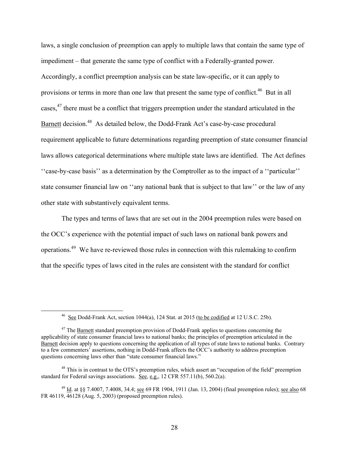laws, a single conclusion of preemption can apply to multiple laws that contain the same type of impediment – that generate the same type of conflict with a Federally-granted power. Accordingly, a conflict preemption analysis can be state law-specific, or it can apply to provisions or terms in more than one law that present the same type of conflict.<sup>46</sup> But in all cases,47 there must be a conflict that triggers preemption under the standard articulated in the Barnett decision.<sup>48</sup> As detailed below, the Dodd-Frank Act's case-by-case procedural requirement applicable to future determinations regarding preemption of state consumer financial laws allows categorical determinations where multiple state laws are identified. The Act defines ''case-by-case basis'' as a determination by the Comptroller as to the impact of a ''particular'' state consumer financial law on "any national bank that is subject to that law" or the law of any other state with substantively equivalent terms.

The types and terms of laws that are set out in the 2004 preemption rules were based on the OCC's experience with the potential impact of such laws on national bank powers and operations.49 We have re-reviewed those rules in connection with this rulemaking to confirm that the specific types of laws cited in the rules are consistent with the standard for conflict

<sup>&</sup>lt;sup>46</sup> See Dodd-Frank Act, section 1044(a), 124 Stat. at 2015 (to be codified at 12 U.S.C. 25b).

 $47$  The Barnett standard preemption provision of Dodd-Frank applies to questions concerning the applicability of state consumer financial laws to national banks; the principles of preemption articulated in the Barnett decision apply to questions concerning the application of all types of state laws to national banks. Contrary to a few commenters' assertions, nothing in Dodd-Frank affects the OCC's authority to address preemption questions concerning laws other than "state consumer financial laws."

<sup>&</sup>lt;sup>48</sup> This is in contrast to the OTS's preemption rules, which assert an "occupation of the field" preemption standard for Federal savings associations. See, e.g., 12 CFR 557.11(b), 560.2(a).

 $^{49}$  Id. at §§ 7.4007, 7.4008, 34.4; <u>see</u> 69 FR 1904, 1911 (Jan. 13, 2004) (final preemption rules); <u>see also</u> 68 FR 46119, 46128 (Aug. 5, 2003) (proposed preemption rules).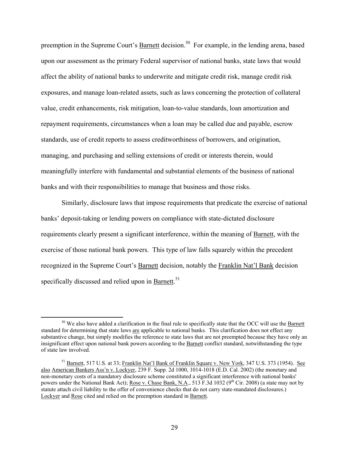preemption in the Supreme Court's Barnett decision.<sup>50</sup> For example, in the lending arena, based upon our assessment as the primary Federal supervisor of national banks, state laws that would affect the ability of national banks to underwrite and mitigate credit risk, manage credit risk exposures, and manage loan-related assets, such as laws concerning the protection of collateral value, credit enhancements, risk mitigation, loan-to-value standards, loan amortization and repayment requirements, circumstances when a loan may be called due and payable, escrow standards, use of credit reports to assess creditworthiness of borrowers, and origination, managing, and purchasing and selling extensions of credit or interests therein, would meaningfully interfere with fundamental and substantial elements of the business of national banks and with their responsibilities to manage that business and those risks.

Similarly, disclosure laws that impose requirements that predicate the exercise of national banks' deposit-taking or lending powers on compliance with state-dictated disclosure requirements clearly present a significant interference, within the meaning of Barnett, with the exercise of those national bank powers. This type of law falls squarely within the precedent recognized in the Supreme Court's Barnett decision, notably the Franklin Nat'l Bank decision specifically discussed and relied upon in Barnett.<sup>51</sup>

<sup>&</sup>lt;sup>50</sup> We also have added a clarification in the final rule to specifically state that the OCC will use the Barnett standard for determining that state laws are applicable to national banks. This clarification does not effect any substantive change, but simply modifies the reference to state laws that are not preempted because they have only an insignificant effect upon national bank powers according to the Barnett conflict standard, notwithstanding the type of state law involved.

<sup>&</sup>lt;sup>51</sup> Barnett, 517 U.S. at 33; Franklin Nat'l Bank of Franklin Square v. New York, 347 U.S. 373 (1954). See also American Bankers Ass'n v. Lockyer, 239 F. Supp. 2d 1000, 1014-1018 (E.D. Cal. 2002) (the monetary and non-monetary costs of a mandatory disclosure scheme constituted a significant interference with national banks' powers under the National Bank Act); Rose v. Chase Bank, N.A., 513 F.3d 1032 ( $9<sup>th</sup>$  Cir. 2008) (a state may not by statute attach civil liability to the offer of convenience checks that do not carry state-mandated disclosures.) Lockyer and Rose cited and relied on the preemption standard in Barnett.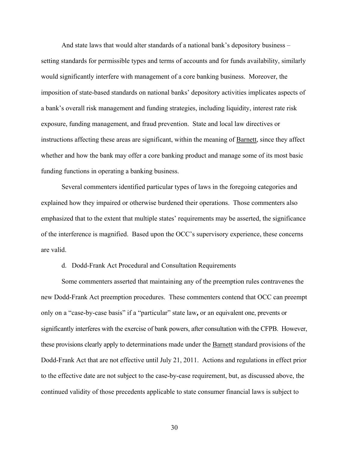And state laws that would alter standards of a national bank's depository business – setting standards for permissible types and terms of accounts and for funds availability, similarly would significantly interfere with management of a core banking business. Moreover, the imposition of state-based standards on national banks' depository activities implicates aspects of a bank's overall risk management and funding strategies, including liquidity, interest rate risk exposure, funding management, and fraud prevention. State and local law directives or instructions affecting these areas are significant, within the meaning of Barnett, since they affect whether and how the bank may offer a core banking product and manage some of its most basic funding functions in operating a banking business.

Several commenters identified particular types of laws in the foregoing categories and explained how they impaired or otherwise burdened their operations. Those commenters also emphasized that to the extent that multiple states' requirements may be asserted, the significance of the interference is magnified. Based upon the OCC's supervisory experience, these concerns are valid.

d. Dodd-Frank Act Procedural and Consultation Requirements

Some commenters asserted that maintaining any of the preemption rules contravenes the new Dodd-Frank Act preemption procedures. These commenters contend that OCC can preempt only on a "case-by-case basis" if a "particular" state law**,** or an equivalent one, prevents or significantly interferes with the exercise of bank powers, after consultation with the CFPB. However, these provisions clearly apply to determinations made under the Barnett standard provisions of the Dodd-Frank Act that are not effective until July 21, 2011. Actions and regulations in effect prior to the effective date are not subject to the case-by-case requirement, but, as discussed above, the continued validity of those precedents applicable to state consumer financial laws is subject to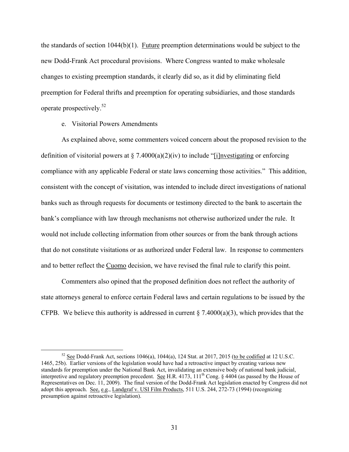the standards of section 1044(b)(1). Future preemption determinations would be subject to the new Dodd-Frank Act procedural provisions. Where Congress wanted to make wholesale changes to existing preemption standards, it clearly did so, as it did by eliminating field preemption for Federal thrifts and preemption for operating subsidiaries, and those standards operate prospectively.<sup>52</sup>

e. Visitorial Powers Amendments

As explained above, some commenters voiced concern about the proposed revision to the definition of visitorial powers at  $\S$  7.4000(a)(2)(iv) to include "[i]nvestigating or enforcing compliance with any applicable Federal or state laws concerning those activities." This addition, consistent with the concept of visitation, was intended to include direct investigations of national banks such as through requests for documents or testimony directed to the bank to ascertain the bank's compliance with law through mechanisms not otherwise authorized under the rule. It would not include collecting information from other sources or from the bank through actions that do not constitute visitations or as authorized under Federal law. In response to commenters and to better reflect the Cuomo decision, we have revised the final rule to clarify this point.

Commenters also opined that the proposed definition does not reflect the authority of state attorneys general to enforce certain Federal laws and certain regulations to be issued by the CFPB. We believe this authority is addressed in current  $\S 7.4000(a)(3)$ , which provides that the

<sup>&</sup>lt;sup>52</sup> See Dodd-Frank Act, sections 1046(a), 1044(a), 124 Stat. at 2017, 2015 (to be codified at 12 U.S.C. 1465, 25b). Earlier versions of the legislation would have had a retroactive impact by creating various new standards for preemption under the National Bank Act, invalidating an extensive body of national bank judicial, interpretive and regulatory preemption precedent. See H.R. 4173, 111<sup>th</sup> Cong. § 4404 (as passed by the House of Representatives on Dec. 11, 2009). The final version of the Dodd-Frank Act legislation enacted by Congress did not adopt this approach. See, e.g., Landgraf v. USI Film Products, 511 U.S. 244, 272-73 (1994) (recognizing presumption against retroactive legislation).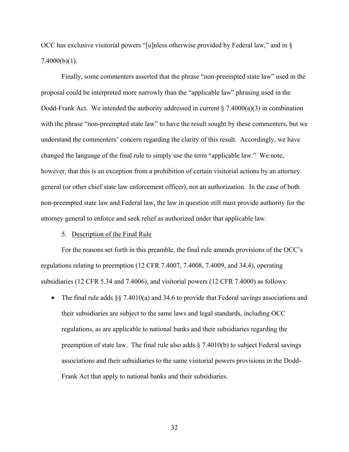OCC has exclusive visitorial powers "[u]nless otherwise provided by Federal law," and in §  $7.4000(b)(1)$ .

Finally, some commenters asserted that the phrase "non-preempted state law" used in the proposal could be interpreted more narrowly than the "applicable law" phrasing used in the Dodd-Frank Act. We intended the authority addressed in current  $\S$  7.4000(a)(3) in combination with the phrase "non-preempted state law" to have the result sought by these commenters, but we understand the commenters' concern regarding the clarity of this result. Accordingly, we have changed the language of the final rule to simply use the term "applicable law." We note, however, that this is an exception from a prohibition of certain visitorial actions by an attorney general (or other chief state law enforcement officer), not an authorization. In the case of both non-preempted state law and Federal law, the law in question still must provide authority for the attorney general to enforce and seek relief as authorized under that applicable law.

#### 5. Description of the Final Rule

For the reasons set forth in this preamble, the final rule amends provisions of the OCC's regulations relating to preemption (12 CFR 7.4007, 7.4008, 7.4009, and 34.4), operating subsidiaries (12 CFR 5.34 and 7.4006), and visitorial powers (12 CFR 7.4000) as follows:

• The final rule adds  $\S$  7.4010(a) and 34.6 to provide that Federal savings associations and their subsidiaries are subject to the same laws and legal standards, including OCC regulations, as are applicable to national banks and their subsidiaries regarding the preemption of state law. The final rule also adds  $\S$  7.4010(b) to subject Federal savings associations and their subsidiaries to the same visitorial powers provisions in the Dodd-Frank Act that apply to national banks and their subsidiaries.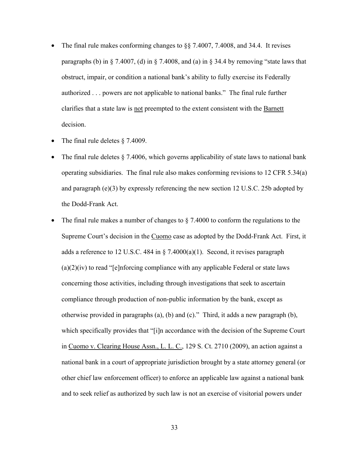- The final rule makes conforming changes to §§ 7.4007, 7.4008, and 34.4. It revises paragraphs (b) in  $\S 7.4007$ , (d) in  $\S 7.4008$ , and (a) in  $\S 34.4$  by removing "state laws that obstruct, impair, or condition a national bank's ability to fully exercise its Federally authorized . . . powers are not applicable to national banks." The final rule further clarifies that a state law is not preempted to the extent consistent with the Barnett decision.
- The final rule deletes § 7.4009.
- The final rule deletes § 7.4006, which governs applicability of state laws to national bank operating subsidiaries. The final rule also makes conforming revisions to 12 CFR 5.34(a) and paragraph (e)(3) by expressly referencing the new section 12 U.S.C. 25b adopted by the Dodd-Frank Act.
- The final rule makes a number of changes to  $\S$  7.4000 to conform the regulations to the Supreme Court's decision in the Cuomo case as adopted by the Dodd-Frank Act. First, it adds a reference to 12 U.S.C. 484 in § 7.4000(a)(1). Second, it revises paragraph  $(a)(2)(iv)$  to read "[e]nforcing compliance with any applicable Federal or state laws concerning those activities, including through investigations that seek to ascertain compliance through production of non-public information by the bank, except as otherwise provided in paragraphs (a), (b) and (c)." Third, it adds a new paragraph (b), which specifically provides that "[i]n accordance with the decision of the Supreme Court in Cuomo v. Clearing House Assn., L. L. C., 129 S. Ct. 2710 (2009), an action against a national bank in a court of appropriate jurisdiction brought by a state attorney general (or other chief law enforcement officer) to enforce an applicable law against a national bank and to seek relief as authorized by such law is not an exercise of visitorial powers under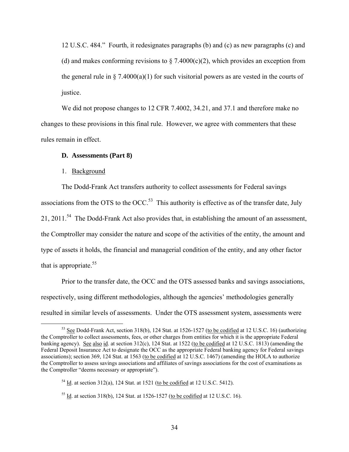12 U.S.C. 484." Fourth, it redesignates paragraphs (b) and (c) as new paragraphs (c) and (d) and makes conforming revisions to  $\S$  7.4000(c)(2), which provides an exception from the general rule in  $\S$  7.4000(a)(1) for such visitorial powers as are vested in the courts of justice.

We did not propose changes to 12 CFR 7.4002, 34.21, and 37.1 and therefore make no changes to these provisions in this final rule. However, we agree with commenters that these rules remain in effect.

#### **D. Assessments (Part 8)**

#### 1. Background

The Dodd-Frank Act transfers authority to collect assessments for Federal savings associations from the OTS to the OCC.<sup>53</sup> This authority is effective as of the transfer date, July 21, 2011.<sup>54</sup> The Dodd-Frank Act also provides that, in establishing the amount of an assessment, the Comptroller may consider the nature and scope of the activities of the entity, the amount and type of assets it holds, the financial and managerial condition of the entity, and any other factor that is appropriate.  $55$ 

Prior to the transfer date, the OCC and the OTS assessed banks and savings associations, respectively, using different methodologies, although the agencies' methodologies generally resulted in similar levels of assessments. Under the OTS assessment system, assessments were

<sup>53</sup> See Dodd-Frank Act, section 318(b), 124 Stat. at 1526-1527 (to be codified at 12 U.S.C. 16) (authorizing the Comptroller to collect assessments, fees, or other charges from entities for which it is the appropriate Federal banking agency). See also id. at section 312(c), 124 Stat. at 1522 (to be codified at 12 U.S.C. 1813) (amending the Federal Deposit Insurance Act to designate the OCC as the appropriate Federal banking agency for Federal savings associations); section 369, 124 Stat. at 1563 (to be codified at 12 U.S.C. 1467) (amending the HOLA to authorize the Comptroller to assess savings associations and affiliates of savings associations for the cost of examinations as the Comptroller "deems necessary or appropriate").

 $54$  Id. at section 312(a), 124 Stat. at 1521 (to be codified at 12 U.S.C. 5412).

<sup>&</sup>lt;sup>55</sup> Id. at section 318(b), 124 Stat. at 1526-1527 (to be codified at 12 U.S.C. 16).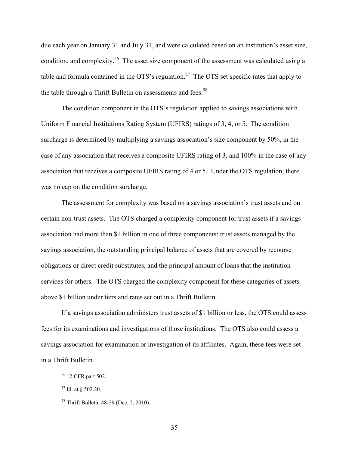due each year on January 31 and July 31, and were calculated based on an institution's asset size, condition, and complexity.<sup>56</sup> The asset size component of the assessment was calculated using a table and formula contained in the OTS's regulation.<sup>57</sup> The OTS set specific rates that apply to the table through a Thrift Bulletin on assessments and fees.<sup>58</sup>

The condition component in the OTS's regulation applied to savings associations with Uniform Financial Institutions Rating System (UFIRS) ratings of 3, 4, or 5. The condition surcharge is determined by multiplying a savings association's size component by 50%, in the case of any association that receives a composite UFIRS rating of 3, and 100% in the case of any association that receives a composite UFIRS rating of 4 or 5. Under the OTS regulation, there was no cap on the condition surcharge.

The assessment for complexity was based on a savings association's trust assets and on certain non-trust assets. The OTS charged a complexity component for trust assets if a savings association had more than \$1 billion in one of three components: trust assets managed by the savings association, the outstanding principal balance of assets that are covered by recourse obligations or direct credit substitutes, and the principal amount of loans that the institution services for others. The OTS charged the complexity component for these categories of assets above \$1 billion under tiers and rates set out in a Thrift Bulletin.

If a savings association administers trust assets of \$1 billion or less, the OTS could assess fees for its examinations and investigations of those institutions. The OTS also could assess a savings association for examination or investigation of its affiliates. Again, these fees were set in a Thrift Bulletin.

<sup>56 12</sup> CFR part 502.

 $57$  Id. at § 502.20.

<sup>58</sup> Thrift Bulletin 48-29 (Dec. 2, 2010).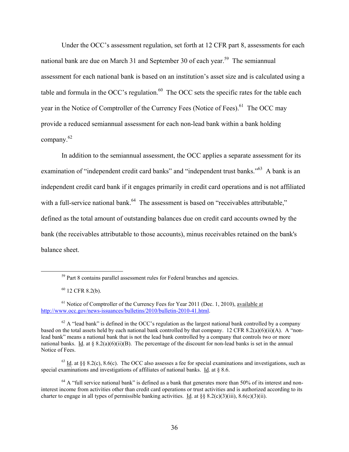Under the OCC's assessment regulation, set forth at 12 CFR part 8, assessments for each national bank are due on March 31 and September 30 of each year.<sup>59</sup> The semiannual assessment for each national bank is based on an institution's asset size and is calculated using a table and formula in the OCC's regulation. $60$  The OCC sets the specific rates for the table each year in the Notice of Comptroller of the Currency Fees (Notice of Fees).<sup>61</sup> The OCC may provide a reduced semiannual assessment for each non-lead bank within a bank holding company.<sup>62</sup>

In addition to the semiannual assessment, the OCC applies a separate assessment for its examination of "independent credit card banks" and "independent trust banks."<sup>63</sup> A bank is an independent credit card bank if it engages primarily in credit card operations and is not affiliated with a full-service national bank.<sup>64</sup> The assessment is based on "receivables attributable," defined as the total amount of outstanding balances due on credit card accounts owned by the bank (the receivables attributable to those accounts), minus receivables retained on the bank's balance sheet.

<sup>&</sup>lt;sup>59</sup> Part 8 contains parallel assessment rules for Federal branches and agencies.

 $60$  12 CFR 8.2(b).

 $61$  Notice of Comptroller of the Currency Fees for Year 2011 (Dec. 1, 2010), available at http://www.occ.gov/news-issuances/bulletins/2010/bulletin-2010-41.html.

 $62$  A "lead bank" is defined in the OCC's regulation as the largest national bank controlled by a company based on the total assets held by each national bank controlled by that company. 12 CFR 8.2(a)(6)(ii)(A). A "nonlead bank" means a national bank that is not the lead bank controlled by a company that controls two or more national banks. Id. at  $\S 8.2(a)(6)(ii)(B)$ . The percentage of the discount for non-lead banks is set in the annual Notice of Fees.

 $63$  Id. at §§ 8.2(c), 8.6(c). The OCC also assesses a fee for special examinations and investigations, such as special examinations and investigations of affiliates of national banks. Id. at § 8.6.

 $64$  A "full service national bank" is defined as a bank that generates more than 50% of its interest and noninterest income from activities other than credit card operations or trust activities and is authorized according to its charter to engage in all types of permissible banking activities. Id. at  $\S$ § 8.2(c)(3)(iii), 8.6(c)(3)(ii).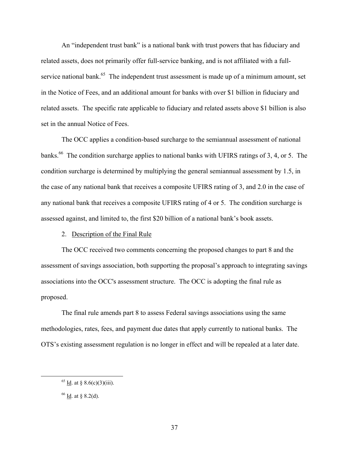An "independent trust bank" is a national bank with trust powers that has fiduciary and related assets, does not primarily offer full-service banking, and is not affiliated with a fullservice national bank.<sup>65</sup> The independent trust assessment is made up of a minimum amount, set in the Notice of Fees, and an additional amount for banks with over \$1 billion in fiduciary and related assets. The specific rate applicable to fiduciary and related assets above \$1 billion is also set in the annual Notice of Fees.

The OCC applies a condition-based surcharge to the semiannual assessment of national banks.<sup>66</sup> The condition surcharge applies to national banks with UFIRS ratings of 3, 4, or 5. The condition surcharge is determined by multiplying the general semiannual assessment by 1.5, in the case of any national bank that receives a composite UFIRS rating of 3, and 2.0 in the case of any national bank that receives a composite UFIRS rating of 4 or 5. The condition surcharge is assessed against, and limited to, the first \$20 billion of a national bank's book assets.

## 2. Description of the Final Rule

The OCC received two comments concerning the proposed changes to part 8 and the assessment of savings association, both supporting the proposal's approach to integrating savings associations into the OCC's assessment structure. The OCC is adopting the final rule as proposed.

The final rule amends part 8 to assess Federal savings associations using the same methodologies, rates, fees, and payment due dates that apply currently to national banks. The OTS's existing assessment regulation is no longer in effect and will be repealed at a later date.

 $65$  <u>Id</u>. at § 8.6(c)(3)(iii).

 $66$  Id. at § 8.2(d).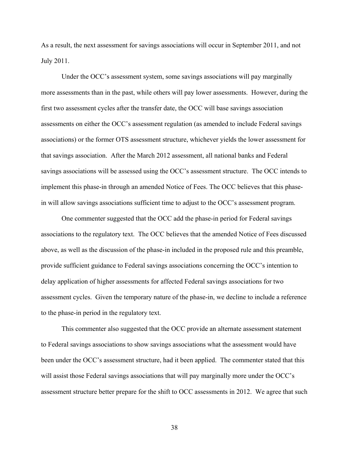As a result, the next assessment for savings associations will occur in September 2011, and not July 2011.

Under the OCC's assessment system, some savings associations will pay marginally more assessments than in the past, while others will pay lower assessments. However, during the first two assessment cycles after the transfer date, the OCC will base savings association assessments on either the OCC's assessment regulation (as amended to include Federal savings associations) or the former OTS assessment structure, whichever yields the lower assessment for that savings association. After the March 2012 assessment, all national banks and Federal savings associations will be assessed using the OCC's assessment structure. The OCC intends to implement this phase-in through an amended Notice of Fees. The OCC believes that this phasein will allow savings associations sufficient time to adjust to the OCC's assessment program.

One commenter suggested that the OCC add the phase-in period for Federal savings associations to the regulatory text. The OCC believes that the amended Notice of Fees discussed above, as well as the discussion of the phase-in included in the proposed rule and this preamble, provide sufficient guidance to Federal savings associations concerning the OCC's intention to delay application of higher assessments for affected Federal savings associations for two assessment cycles. Given the temporary nature of the phase-in, we decline to include a reference to the phase-in period in the regulatory text.

This commenter also suggested that the OCC provide an alternate assessment statement to Federal savings associations to show savings associations what the assessment would have been under the OCC's assessment structure, had it been applied. The commenter stated that this will assist those Federal savings associations that will pay marginally more under the OCC's assessment structure better prepare for the shift to OCC assessments in 2012. We agree that such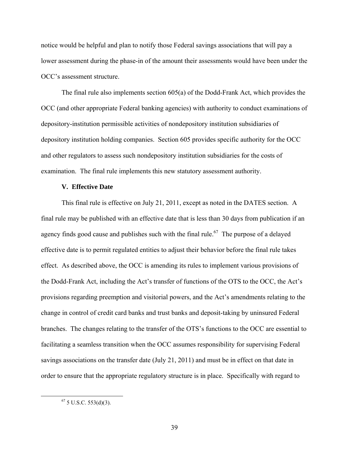notice would be helpful and plan to notify those Federal savings associations that will pay a lower assessment during the phase-in of the amount their assessments would have been under the OCC's assessment structure.

The final rule also implements section 605(a) of the Dodd-Frank Act, which provides the OCC (and other appropriate Federal banking agencies) with authority to conduct examinations of depository-institution permissible activities of nondepository institution subsidiaries of depository institution holding companies. Section 605 provides specific authority for the OCC and other regulators to assess such nondepository institution subsidiaries for the costs of examination. The final rule implements this new statutory assessment authority.

#### **V. Effective Date**

This final rule is effective on July 21, 2011, except as noted in the DATES section. A final rule may be published with an effective date that is less than 30 days from publication if an agency finds good cause and publishes such with the final rule.<sup>67</sup> The purpose of a delayed effective date is to permit regulated entities to adjust their behavior before the final rule takes effect. As described above, the OCC is amending its rules to implement various provisions of the Dodd-Frank Act, including the Act's transfer of functions of the OTS to the OCC, the Act's provisions regarding preemption and visitorial powers, and the Act's amendments relating to the change in control of credit card banks and trust banks and deposit-taking by uninsured Federal branches. The changes relating to the transfer of the OTS's functions to the OCC are essential to facilitating a seamless transition when the OCC assumes responsibility for supervising Federal savings associations on the transfer date (July 21, 2011) and must be in effect on that date in order to ensure that the appropriate regulatory structure is in place. Specifically with regard to

 $67$  5 U.S.C. 553(d)(3).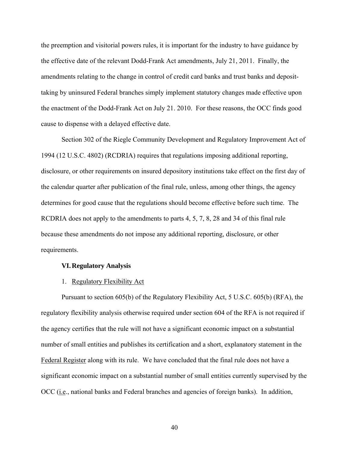the preemption and visitorial powers rules, it is important for the industry to have guidance by the effective date of the relevant Dodd-Frank Act amendments, July 21, 2011. Finally, the amendments relating to the change in control of credit card banks and trust banks and deposittaking by uninsured Federal branches simply implement statutory changes made effective upon the enactment of the Dodd-Frank Act on July 21. 2010. For these reasons, the OCC finds good cause to dispense with a delayed effective date.

Section 302 of the Riegle Community Development and Regulatory Improvement Act of 1994 (12 U.S.C. 4802) (RCDRIA) requires that regulations imposing additional reporting, disclosure, or other requirements on insured depository institutions take effect on the first day of the calendar quarter after publication of the final rule, unless, among other things, the agency determines for good cause that the regulations should become effective before such time. The RCDRIA does not apply to the amendments to parts 4, 5, 7, 8, 28 and 34 of this final rule because these amendments do not impose any additional reporting, disclosure, or other requirements.

#### **VI. Regulatory Analysis**

#### 1. Regulatory Flexibility Act

Pursuant to section 605(b) of the Regulatory Flexibility Act, 5 U.S.C. 605(b) (RFA), the regulatory flexibility analysis otherwise required under section 604 of the RFA is not required if the agency certifies that the rule will not have a significant economic impact on a substantial number of small entities and publishes its certification and a short, explanatory statement in the Federal Register along with its rule. We have concluded that the final rule does not have a significant economic impact on a substantial number of small entities currently supervised by the OCC (i.e., national banks and Federal branches and agencies of foreign banks). In addition,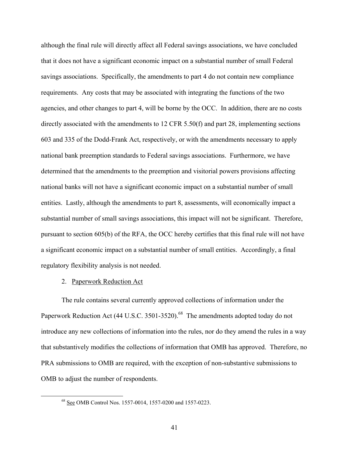although the final rule will directly affect all Federal savings associations, we have concluded that it does not have a significant economic impact on a substantial number of small Federal savings associations. Specifically, the amendments to part 4 do not contain new compliance requirements. Any costs that may be associated with integrating the functions of the two agencies, and other changes to part 4, will be borne by the OCC. In addition, there are no costs directly associated with the amendments to 12 CFR 5.50(f) and part 28, implementing sections 603 and 335 of the Dodd-Frank Act, respectively, or with the amendments necessary to apply national bank preemption standards to Federal savings associations. Furthermore, we have determined that the amendments to the preemption and visitorial powers provisions affecting national banks will not have a significant economic impact on a substantial number of small entities. Lastly, although the amendments to part 8, assessments, will economically impact a substantial number of small savings associations, this impact will not be significant. Therefore, pursuant to section 605(b) of the RFA, the OCC hereby certifies that this final rule will not have a significant economic impact on a substantial number of small entities. Accordingly, a final regulatory flexibility analysis is not needed.

## 2. Paperwork Reduction Act

The rule contains several currently approved collections of information under the Paperwork Reduction Act (44 U.S.C. 3501-3520).<sup>68</sup> The amendments adopted today do not introduce any new collections of information into the rules, nor do they amend the rules in a way that substantively modifies the collections of information that OMB has approved. Therefore, no PRA submissions to OMB are required, with the exception of non-substantive submissions to OMB to adjust the number of respondents.

<sup>68</sup> See OMB Control Nos. 1557-0014, 1557-0200 and 1557-0223.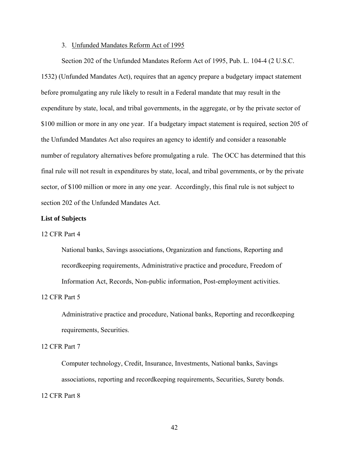#### 3. Unfunded Mandates Reform Act of 1995

Section 202 of the Unfunded Mandates Reform Act of 1995, Pub. L. 104-4 (2 U.S.C. 1532) (Unfunded Mandates Act), requires that an agency prepare a budgetary impact statement before promulgating any rule likely to result in a Federal mandate that may result in the expenditure by state, local, and tribal governments, in the aggregate, or by the private sector of \$100 million or more in any one year. If a budgetary impact statement is required, section 205 of the Unfunded Mandates Act also requires an agency to identify and consider a reasonable number of regulatory alternatives before promulgating a rule. The OCC has determined that this final rule will not result in expenditures by state, local, and tribal governments, or by the private sector, of \$100 million or more in any one year. Accordingly, this final rule is not subject to section 202 of the Unfunded Mandates Act.

## **List of Subjects**

#### 12 CFR Part 4

National banks, Savings associations, Organization and functions, Reporting and recordkeeping requirements, Administrative practice and procedure, Freedom of Information Act, Records, Non-public information, Post-employment activities.

## 12 CFR Part 5

Administrative practice and procedure, National banks, Reporting and recordkeeping requirements, Securities.

#### 12 CFR Part 7

Computer technology, Credit, Insurance, Investments, National banks, Savings associations, reporting and recordkeeping requirements, Securities, Surety bonds. 12 CFR Part 8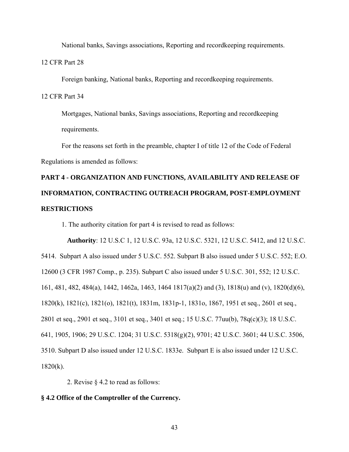National banks, Savings associations, Reporting and recordkeeping requirements.

12 CFR Part 28

Foreign banking, National banks, Reporting and recordkeeping requirements.

12 CFR Part 34

Mortgages, National banks, Savings associations, Reporting and recordkeeping requirements.

For the reasons set forth in the preamble, chapter I of title 12 of the Code of Federal Regulations is amended as follows:

# **PART 4 - ORGANIZATION AND FUNCTIONS, AVAILABILITY AND RELEASE OF INFORMATION, CONTRACTING OUTREACH PROGRAM, POST-EMPLOYMENT RESTRICTIONS**

1. The authority citation for part 4 is revised to read as follows:

**Authority**: 12 U.S.C 1, 12 U.S.C. 93a, 12 U.S.C. 5321, 12 U.S.C. 5412, and 12 U.S.C. 5414. Subpart A also issued under 5 U.S.C. 552. Subpart B also issued under 5 U.S.C. 552; E.O. 12600 (3 CFR 1987 Comp., p. 235). Subpart C also issued under 5 U.S.C. 301, 552; 12 U.S.C. 161, 481, 482, 484(a), 1442, 1462a, 1463, 1464 1817(a)(2) and (3), 1818(u) and (v), 1820(d)(6), 1820(k), 1821(c), 1821(o), 1821(t), 1831m, 1831p-1, 1831o, 1867, 1951 et seq., 2601 et seq., 2801 et seq., 2901 et seq., 3101 et seq., 3401 et seq.; 15 U.S.C. 77uu(b), 78q(c)(3); 18 U.S.C. 641, 1905, 1906; 29 U.S.C. 1204; 31 U.S.C. 5318(g)(2), 9701; 42 U.S.C. 3601; 44 U.S.C. 3506, 3510. Subpart D also issued under 12 U.S.C. 1833e. Subpart E is also issued under 12 U.S.C.  $1820(k)$ .

2. Revise § 4.2 to read as follows:

## **§ 4.2 Office of the Comptroller of the Currency.**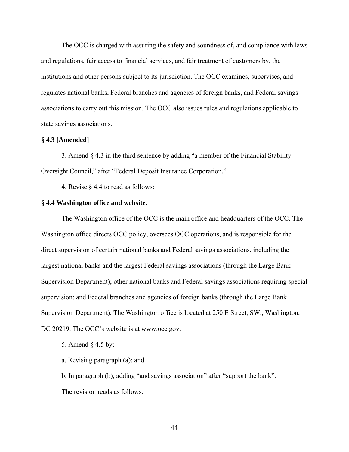The OCC is charged with assuring the safety and soundness of, and compliance with laws and regulations, fair access to financial services, and fair treatment of customers by, the institutions and other persons subject to its jurisdiction. The OCC examines, supervises, and regulates national banks, Federal branches and agencies of foreign banks, and Federal savings associations to carry out this mission. The OCC also issues rules and regulations applicable to state savings associations.

## **§ 4.3 [Amended]**

3. Amend § 4.3 in the third sentence by adding "a member of the Financial Stability Oversight Council," after "Federal Deposit Insurance Corporation,".

4. Revise § 4.4 to read as follows:

#### **§ 4.4 Washington office and website.**

The Washington office of the OCC is the main office and headquarters of the OCC. The Washington office directs OCC policy, oversees OCC operations, and is responsible for the direct supervision of certain national banks and Federal savings associations, including the largest national banks and the largest Federal savings associations (through the Large Bank Supervision Department); other national banks and Federal savings associations requiring special supervision; and Federal branches and agencies of foreign banks (through the Large Bank Supervision Department). The Washington office is located at 250 E Street, SW., Washington, DC 20219. The OCC's website is at www.occ.gov.

5. Amend § 4.5 by:

a. Revising paragraph (a); and

b. In paragraph (b), adding "and savings association" after "support the bank". The revision reads as follows: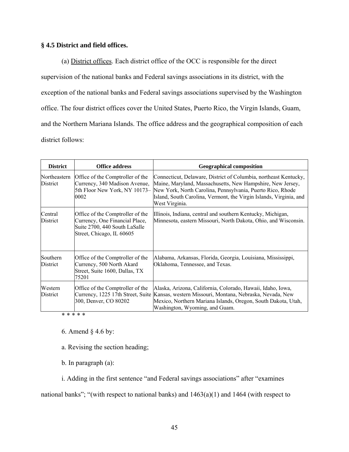## **§ 4.5 District and field offices.**

(a) District offices. Each district office of the OCC is responsible for the direct supervision of the national banks and Federal savings associations in its district, with the exception of the national banks and Federal savings associations supervised by the Washington office. The four district offices cover the United States, Puerto Rico, the Virgin Islands, Guam, and the Northern Mariana Islands. The office address and the geographical composition of each district follows:

| <b>District</b>          | <b>Office address</b>                                                                                                            | <b>Geographical composition</b>                                                                                                                                                                                                                                                                                    |
|--------------------------|----------------------------------------------------------------------------------------------------------------------------------|--------------------------------------------------------------------------------------------------------------------------------------------------------------------------------------------------------------------------------------------------------------------------------------------------------------------|
| Northeastern<br>District | Office of the Comptroller of the<br>Currency, 340 Madison Avenue,<br>0002                                                        | Connecticut, Delaware, District of Columbia, northeast Kentucky,<br>Maine, Maryland, Massachusetts, New Hampshire, New Jersey,<br>5th Floor New York, NY 10173– New York, North Carolina, Pennsylvania, Puerto Rico, Rhode<br>Island, South Carolina, Vermont, the Virgin Islands, Virginia, and<br>West Virginia. |
| Central<br>District      | Office of the Comptroller of the<br>Currency, One Financial Place,<br>Suite 2700, 440 South LaSalle<br>Street, Chicago, IL 60605 | Illinois, Indiana, central and southern Kentucky, Michigan,<br>Minnesota, eastern Missouri, North Dakota, Ohio, and Wisconsin.                                                                                                                                                                                     |
| Southern<br>District     | Office of the Comptroller of the<br>Currency, 500 North Akard<br>Street, Suite 1600, Dallas, TX<br>75201                         | Alabama, Arkansas, Florida, Georgia, Louisiana, Mississippi,<br>Oklahoma, Tennessee, and Texas.                                                                                                                                                                                                                    |
| Western<br>District      | Office of the Comptroller of the<br>300, Denver, CO 80202                                                                        | Alaska, Arizona, California, Colorado, Hawaii, Idaho, Iowa,<br>Currency, 1225 17th Street, Suite Kansas, western Missouri, Montana, Nebraska, Nevada, New<br>Mexico, Northern Mariana Islands, Oregon, South Dakota, Utah,<br>Washington, Wyoming, and Guam.                                                       |

\* \* \* \* \*

6. Amend § 4.6 by:

a. Revising the section heading;

b. In paragraph (a):

i. Adding in the first sentence "and Federal savings associations" after "examines

national banks"; "(with respect to national banks) and 1463(a)(1) and 1464 (with respect to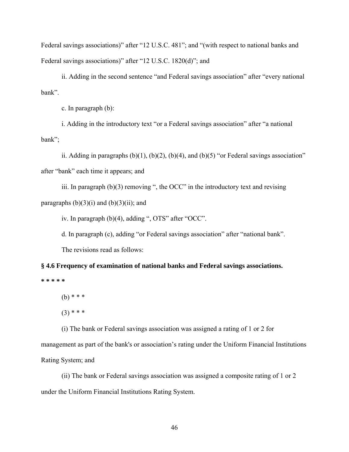Federal savings associations)" after "12 U.S.C. 481"; and "(with respect to national banks and Federal savings associations)" after "12 U.S.C. 1820(d)"; and

ii. Adding in the second sentence "and Federal savings association" after "every national bank".

c. In paragraph (b):

i. Adding in the introductory text "or a Federal savings association" after "a national bank";

ii. Adding in paragraphs  $(b)(1)$ ,  $(b)(2)$ ,  $(b)(4)$ , and  $(b)(5)$  "or Federal savings association" after "bank" each time it appears; and

iii. In paragraph  $(b)(3)$  removing ", the OCC" in the introductory text and revising paragraphs  $(b)(3)(i)$  and  $(b)(3)(ii)$ ; and

iv. In paragraph (b)(4), adding ", OTS" after "OCC".

d. In paragraph (c), adding "or Federal savings association" after "national bank".

The revisions read as follows:

**§ 4.6 Frequency of examination of national banks and Federal savings associations.** 

**\* \* \* \* \*** 

(b) \* \* \*

 $(3)$  \* \* \*

(i) The bank or Federal savings association was assigned a rating of 1 or 2 for

management as part of the bank's or association's rating under the Uniform Financial Institutions Rating System; and

(ii) The bank or Federal savings association was assigned a composite rating of 1 or 2 under the Uniform Financial Institutions Rating System.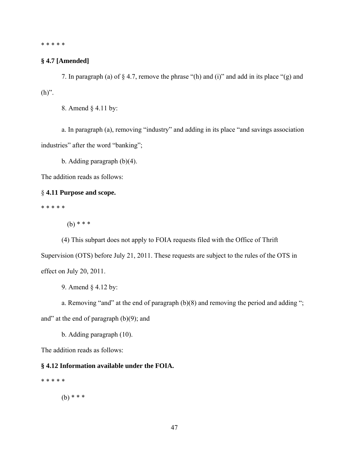\* \* \* \* \*

## **§ 4.7 [Amended]**

7. In paragraph (a) of § 4.7, remove the phrase "(h) and (i)" and add in its place "(g) and  $(h)$ ".

8. Amend § 4.11 by:

a. In paragraph (a), removing "industry" and adding in its place "and savings association industries" after the word "banking";

b. Adding paragraph (b)(4).

The addition reads as follows:

## § **4.11 Purpose and scope.**

\* \* \* \* \*

(b) \* \* \*

(4) This subpart does not apply to FOIA requests filed with the Office of Thrift Supervision (OTS) before July 21, 2011. These requests are subject to the rules of the OTS in effect on July 20, 2011.

9. Amend § 4.12 by:

a. Removing "and" at the end of paragraph (b)(8) and removing the period and adding "; and" at the end of paragraph  $(b)(9)$ ; and

b. Adding paragraph (10).

The addition reads as follows:

## **§ 4.12 Information available under the FOIA.**

\* \* \* \* \*

(b) \* \* \*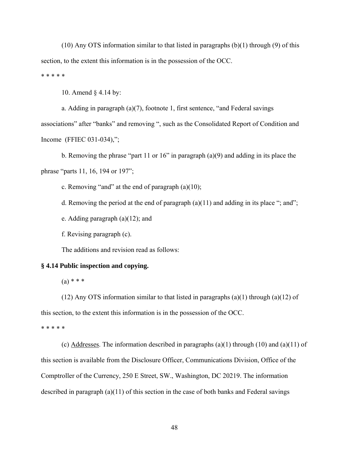$(10)$  Any OTS information similar to that listed in paragraphs  $(b)(1)$  through  $(9)$  of this section, to the extent this information is in the possession of the OCC. \* \* \* \* \*

10. Amend § 4.14 by:

a. Adding in paragraph (a)(7), footnote 1, first sentence, "and Federal savings associations" after "banks" and removing ", such as the Consolidated Report of Condition and Income (FFIEC 031-034),";

b. Removing the phrase "part 11 or 16" in paragraph (a)(9) and adding in its place the phrase "parts 11, 16, 194 or 197";

c. Removing "and" at the end of paragraph  $(a)(10)$ ;

d. Removing the period at the end of paragraph  $(a)(11)$  and adding in its place "; and";

e. Adding paragraph (a)(12); and

f. Revising paragraph (c).

The additions and revision read as follows:

## **§ 4.14 Public inspection and copying.**

 $(a) * * * *$ 

(12) Any OTS information similar to that listed in paragraphs (a)(1) through (a)(12) of this section, to the extent this information is in the possession of the OCC.

\* \* \* \* \*

(c) Addresses. The information described in paragraphs (a)(1) through (10) and (a)(11) of this section is available from the Disclosure Officer, Communications Division, Office of the Comptroller of the Currency, 250 E Street, SW., Washington, DC 20219. The information described in paragraph (a)(11) of this section in the case of both banks and Federal savings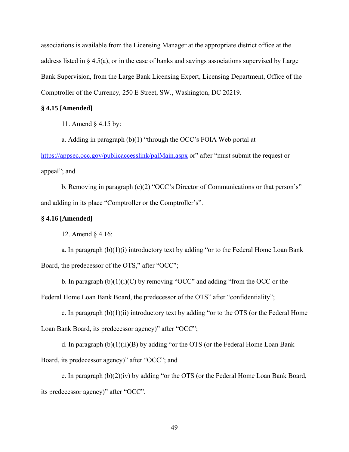associations is available from the Licensing Manager at the appropriate district office at the address listed in § 4.5(a), or in the case of banks and savings associations supervised by Large Bank Supervision, from the Large Bank Licensing Expert, Licensing Department, Office of the Comptroller of the Currency, 250 E Street, SW., Washington, DC 20219.

## **§ 4.15 [Amended]**

11. Amend § 4.15 by:

a. Adding in paragraph (b)(1) "through the OCC's FOIA Web portal at

https://appsec.occ.gov/publicaccesslink/palMain.aspx or" after "must submit the request or appeal"; and

b. Removing in paragraph (c)(2) "OCC's Director of Communications or that person's" and adding in its place "Comptroller or the Comptroller's".

## **§ 4.16 [Amended]**

12. Amend § 4.16:

a. In paragraph  $(b)(1)(i)$  introductory text by adding "or to the Federal Home Loan Bank Board, the predecessor of the OTS," after "OCC";

b. In paragraph  $(b)(1)(i)(C)$  by removing "OCC" and adding "from the OCC or the

Federal Home Loan Bank Board, the predecessor of the OTS" after "confidentiality";

c. In paragraph  $(b)(1)(ii)$  introductory text by adding "or to the OTS (or the Federal Home Loan Bank Board, its predecessor agency)" after "OCC";

d. In paragraph  $(b)(1)(ii)(B)$  by adding "or the OTS (or the Federal Home Loan Bank Board, its predecessor agency)" after "OCC"; and

e. In paragraph (b)(2)(iv) by adding "or the OTS (or the Federal Home Loan Bank Board, its predecessor agency)" after "OCC".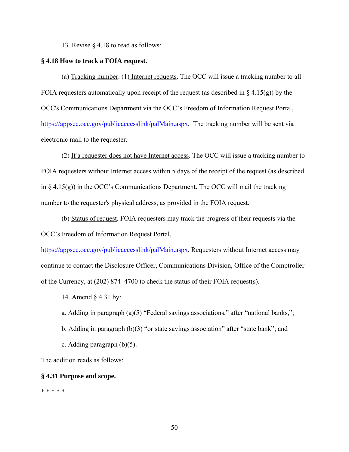13. Revise § 4.18 to read as follows:

#### **§ 4.18 How to track a FOIA request.**

(a) Tracking number. (1) Internet requests. The OCC will issue a tracking number to all FOIA requesters automatically upon receipt of the request (as described in  $\S$  4.15(g)) by the OCC's Communications Department via the OCC's Freedom of Information Request Portal, https://appsec.occ.gov/publicaccesslink/palMain.aspx. The tracking number will be sent via electronic mail to the requester.

(2) If a requester does not have Internet access. The OCC will issue a tracking number to FOIA requesters without Internet access within 5 days of the receipt of the request (as described in  $\S$  4.15(g)) in the OCC's Communications Department. The OCC will mail the tracking number to the requester's physical address, as provided in the FOIA request.

(b) Status of request. FOIA requesters may track the progress of their requests via the OCC's Freedom of Information Request Portal,

https://appsec.occ.gov/publicaccesslink/palMain.aspx. Requesters without Internet access may continue to contact the Disclosure Officer, Communications Division, Office of the Comptroller of the Currency, at (202) 874–4700 to check the status of their FOIA request(s).

14. Amend § 4.31 by:

- a. Adding in paragraph (a)(5) "Federal savings associations," after "national banks,";
- b. Adding in paragraph (b)(3) "or state savings association" after "state bank"; and
- c. Adding paragraph (b)(5).

The addition reads as follows:

#### **§ 4.31 Purpose and scope.**

#### \* \* \* \* \*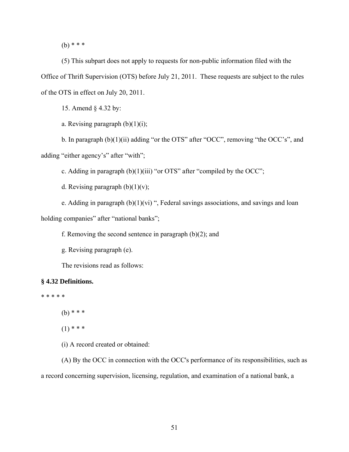(b) \* \* \*

(5) This subpart does not apply to requests for non-public information filed with the Office of Thrift Supervision (OTS) before July 21, 2011. These requests are subject to the rules of the OTS in effect on July 20, 2011.

15. Amend § 4.32 by:

a. Revising paragraph  $(b)(1)(i)$ ;

b. In paragraph (b)(1)(ii) adding "or the OTS" after "OCC", removing "the OCC's", and adding "either agency's" after "with";

c. Adding in paragraph (b)(1)(iii) "or OTS" after "compiled by the OCC";

d. Revising paragraph  $(b)(1)(v)$ ;

e. Adding in paragraph  $(b)(1)(vi)$  ", Federal savings associations, and savings and loan holding companies" after "national banks";

f. Removing the second sentence in paragraph (b)(2); and

g. Revising paragraph (e).

The revisions read as follows:

## **§ 4.32 Definitions.**

\* \* \* \* \*

(b) \* \* \*

 $(1)$  \* \* \*

(i) A record created or obtained:

(A) By the OCC in connection with the OCC's performance of its responsibilities, such as a record concerning supervision, licensing, regulation, and examination of a national bank, a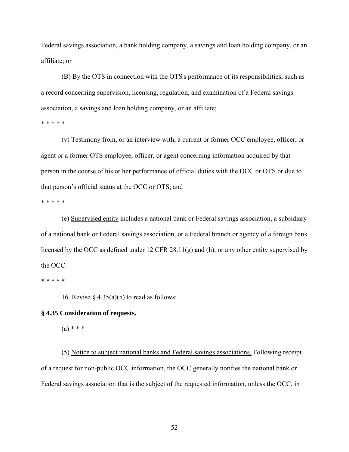Federal savings association, a bank holding company, a savings and loan holding company, or an affiliate; or

(B) By the OTS in connection with the OTS's performance of its responsibilities, such as a record concerning supervision, licensing, regulation, and examination of a Federal savings association, a savings and loan holding company, or an affiliate;

\* \* \* \* \*

(v) Testimony from, or an interview with, a current or former OCC employee, officer, or agent or a former OTS employee, officer, or agent concerning information acquired by that person in the course of his or her performance of official duties with the OCC or OTS or due to that person's official status at the OCC or OTS; and

\* \* \* \* \*

(e) Supervised entity includes a national bank or Federal savings association, a subsidiary of a national bank or Federal savings association, or a Federal branch or agency of a foreign bank licensed by the OCC as defined under 12 CFR 28.11(g) and (h), or any other entity supervised by the OCC.

\* \* \* \* \*

16. Revise  $\S$  4.35(a)(5) to read as follows:

## **§ 4.35 Consideration of requests.**

 $(a) * * * *$ 

(5) Notice to subject national banks and Federal savings associations. Following receipt of a request for non-public OCC information, the OCC generally notifies the national bank or Federal savings association that is the subject of the requested information, unless the OCC, in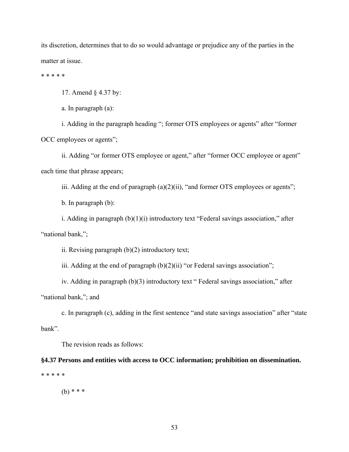its discretion, determines that to do so would advantage or prejudice any of the parties in the matter at issue.

\* \* \* \* \*

17. Amend § 4.37 by:

a. In paragraph (a):

i. Adding in the paragraph heading "; former OTS employees or agents" after "former OCC employees or agents";

ii. Adding "or former OTS employee or agent," after "former OCC employee or agent" each time that phrase appears;

iii. Adding at the end of paragraph (a)(2)(ii), "and former OTS employees or agents";

b. In paragraph (b):

i. Adding in paragraph (b)(1)(i) introductory text "Federal savings association," after "national bank,";

ii. Revising paragraph (b)(2) introductory text;

iii. Adding at the end of paragraph  $(b)(2)(ii)$  "or Federal savings association";

iv. Adding in paragraph (b)(3) introductory text " Federal savings association," after

"national bank,"; and

c. In paragraph (c), adding in the first sentence "and state savings association" after "state bank".

The revision reads as follows:

**§4.37 Persons and entities with access to OCC information; prohibition on dissemination.**  \* \* \* \* \*

(b) \* \* \*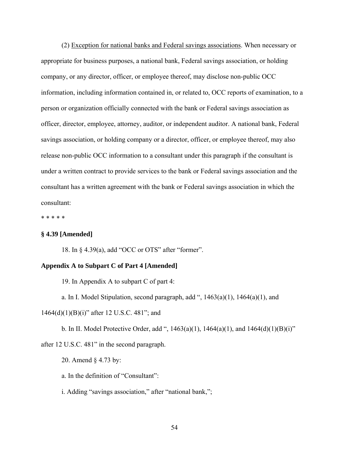(2) Exception for national banks and Federal savings associations. When necessary or appropriate for business purposes, a national bank, Federal savings association, or holding company, or any director, officer, or employee thereof, may disclose non-public OCC information, including information contained in, or related to, OCC reports of examination, to a person or organization officially connected with the bank or Federal savings association as officer, director, employee, attorney, auditor, or independent auditor. A national bank, Federal savings association, or holding company or a director, officer, or employee thereof, may also release non-public OCC information to a consultant under this paragraph if the consultant is under a written contract to provide services to the bank or Federal savings association and the consultant has a written agreement with the bank or Federal savings association in which the consultant:

\* \* \* \* \*

## **§ 4.39 [Amended]**

18. In § 4.39(a), add "OCC or OTS" after "former".

#### **Appendix A to Subpart C of Part 4 [Amended]**

19. In Appendix A to subpart C of part 4:

a. In I. Model Stipulation, second paragraph, add ",  $1463(a)(1)$ ,  $1464(a)(1)$ , and

1464(d)(1)(B)(i)" after 12 U.S.C. 481"; and

b. In II. Model Protective Order, add ",  $1463(a)(1)$ ,  $1464(a)(1)$ , and  $1464(d)(1)(B)(i)$ "

after 12 U.S.C. 481" in the second paragraph.

20. Amend § 4.73 by:

a. In the definition of "Consultant":

i. Adding "savings association," after "national bank,";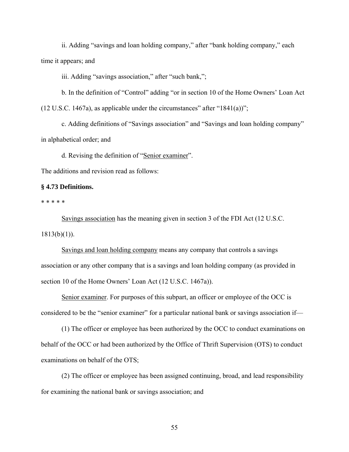ii. Adding "savings and loan holding company," after "bank holding company," each time it appears; and

iii. Adding "savings association," after "such bank,";

b. In the definition of "Control" adding "or in section 10 of the Home Owners' Loan Act  $(12 \text{ U.S.C. } 1467a)$ , as applicable under the circumstances" after "1841(a))";

c. Adding definitions of "Savings association" and "Savings and loan holding company" in alphabetical order; and

d. Revising the definition of "Senior examiner".

The additions and revision read as follows:

## **§ 4.73 Definitions.**

\* \* \* \* \*

Savings association has the meaning given in section 3 of the FDI Act (12 U.S.C.  $1813(b)(1)$ ).

Savings and loan holding company means any company that controls a savings association or any other company that is a savings and loan holding company (as provided in section 10 of the Home Owners' Loan Act (12 U.S.C. 1467a)).

Senior examiner. For purposes of this subpart, an officer or employee of the OCC is considered to be the "senior examiner" for a particular national bank or savings association if—

(1) The officer or employee has been authorized by the OCC to conduct examinations on behalf of the OCC or had been authorized by the Office of Thrift Supervision (OTS) to conduct examinations on behalf of the OTS;

(2) The officer or employee has been assigned continuing, broad, and lead responsibility for examining the national bank or savings association; and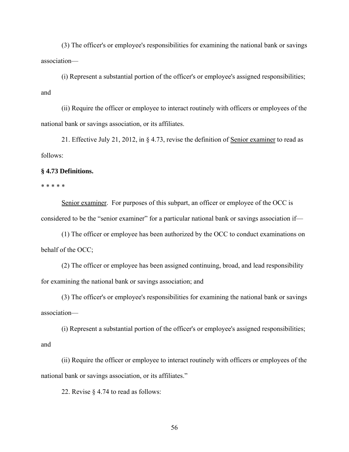(3) The officer's or employee's responsibilities for examining the national bank or savings association—

(i) Represent a substantial portion of the officer's or employee's assigned responsibilities; and

(ii) Require the officer or employee to interact routinely with officers or employees of the national bank or savings association, or its affiliates.

21. Effective July 21, 2012, in § 4.73, revise the definition of Senior examiner to read as follows:

#### **§ 4.73 Definitions.**

\* \* \* \* \*

Senior examiner. For purposes of this subpart, an officer or employee of the OCC is considered to be the "senior examiner" for a particular national bank or savings association if—

(1) The officer or employee has been authorized by the OCC to conduct examinations on behalf of the OCC;

(2) The officer or employee has been assigned continuing, broad, and lead responsibility for examining the national bank or savings association; and

(3) The officer's or employee's responsibilities for examining the national bank or savings association—

(i) Represent a substantial portion of the officer's or employee's assigned responsibilities; and

(ii) Require the officer or employee to interact routinely with officers or employees of the national bank or savings association, or its affiliates."

22. Revise § 4.74 to read as follows: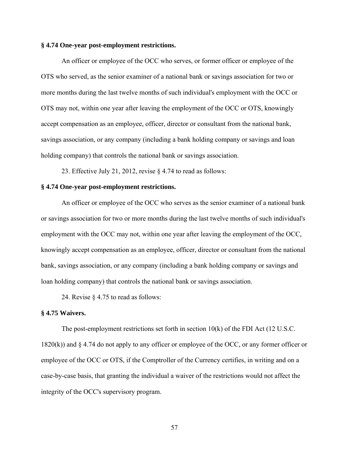#### **§ 4.74 One-year post-employment restrictions.**

An officer or employee of the OCC who serves, or former officer or employee of the OTS who served, as the senior examiner of a national bank or savings association for two or more months during the last twelve months of such individual's employment with the OCC or OTS may not, within one year after leaving the employment of the OCC or OTS, knowingly accept compensation as an employee, officer, director or consultant from the national bank, savings association, or any company (including a bank holding company or savings and loan holding company) that controls the national bank or savings association.

23. Effective July 21, 2012, revise § 4.74 to read as follows:

## **§ 4.74 One-year post-employment restrictions.**

An officer or employee of the OCC who serves as the senior examiner of a national bank or savings association for two or more months during the last twelve months of such individual's employment with the OCC may not, within one year after leaving the employment of the OCC, knowingly accept compensation as an employee, officer, director or consultant from the national bank, savings association, or any company (including a bank holding company or savings and loan holding company) that controls the national bank or savings association.

24. Revise § 4.75 to read as follows:

#### **§ 4.75 Waivers.**

The post-employment restrictions set forth in section 10(k) of the FDI Act (12 U.S.C. 1820(k)) and § 4.74 do not apply to any officer or employee of the OCC, or any former officer or employee of the OCC or OTS, if the Comptroller of the Currency certifies, in writing and on a case-by-case basis, that granting the individual a waiver of the restrictions would not affect the integrity of the OCC's supervisory program.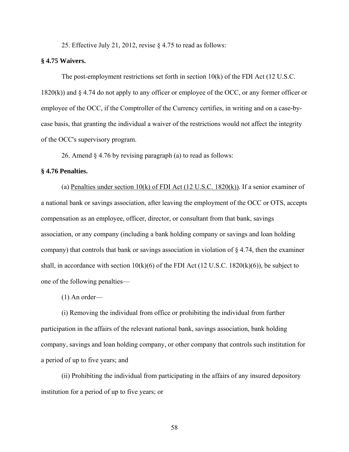25. Effective July 21, 2012, revise § 4.75 to read as follows:

#### **§ 4.75 Waivers.**

The post-employment restrictions set forth in section  $10(k)$  of the FDI Act (12 U.S.C. 1820(k)) and § 4.74 do not apply to any officer or employee of the OCC, or any former officer or employee of the OCC, if the Comptroller of the Currency certifies, in writing and on a case-bycase basis, that granting the individual a waiver of the restrictions would not affect the integrity of the OCC's supervisory program.

26. Amend § 4.76 by revising paragraph (a) to read as follows:

#### **§ 4.76 Penalties.**

(a) Penalties under section 10(k) of FDI Act (12 U.S.C. 1820(k)). If a senior examiner of a national bank or savings association, after leaving the employment of the OCC or OTS, accepts compensation as an employee, officer, director, or consultant from that bank, savings association, or any company (including a bank holding company or savings and loan holding company) that controls that bank or savings association in violation of  $\S 4.74$ , then the examiner shall, in accordance with section  $10(k)(6)$  of the FDI Act (12 U.S.C. 1820 $(k)(6)$ ), be subject to one of the following penalties—

(1) An order—

(i) Removing the individual from office or prohibiting the individual from further participation in the affairs of the relevant national bank, savings association, bank holding company, savings and loan holding company, or other company that controls such institution for a period of up to five years; and

(ii) Prohibiting the individual from participating in the affairs of any insured depository institution for a period of up to five years; or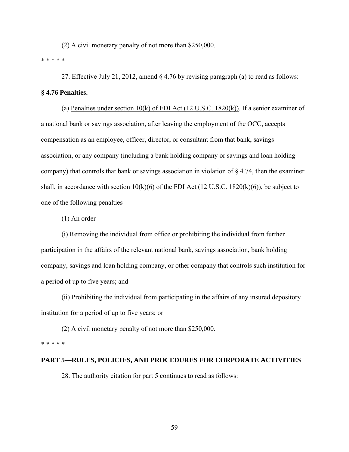(2) A civil monetary penalty of not more than \$250,000.

\* \* \* \* \*

27. Effective July 21, 2012, amend § 4.76 by revising paragraph (a) to read as follows:

## **§ 4.76 Penalties.**

(a) Penalties under section  $10(k)$  of FDI Act (12 U.S.C. 1820(k)). If a senior examiner of a national bank or savings association, after leaving the employment of the OCC, accepts compensation as an employee, officer, director, or consultant from that bank, savings association, or any company (including a bank holding company or savings and loan holding company) that controls that bank or savings association in violation of § 4.74, then the examiner shall, in accordance with section  $10(k)(6)$  of the FDI Act (12 U.S.C. 1820 $(k)(6)$ ), be subject to one of the following penalties—

(1) An order—

(i) Removing the individual from office or prohibiting the individual from further participation in the affairs of the relevant national bank, savings association, bank holding company, savings and loan holding company, or other company that controls such institution for a period of up to five years; and

(ii) Prohibiting the individual from participating in the affairs of any insured depository institution for a period of up to five years; or

(2) A civil monetary penalty of not more than \$250,000.

#### \* \* \* \* \*

## **PART 5—RULES, POLICIES, AND PROCEDURES FOR CORPORATE ACTIVITIES**

28. The authority citation for part 5 continues to read as follows: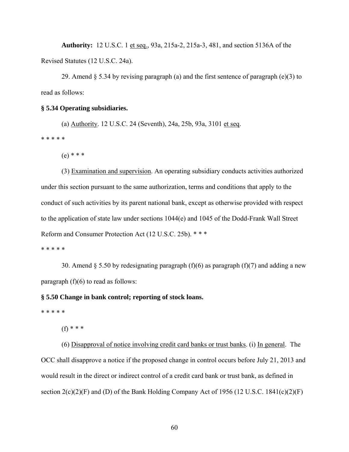**Authority:** 12 U.S.C. 1 et seq., 93a, 215a-2, 215a-3, 481, and section 5136A of the Revised Statutes (12 U.S.C. 24a).

29. Amend  $\S 5.34$  by revising paragraph (a) and the first sentence of paragraph (e)(3) to read as follows:

#### **§ 5.34 Operating subsidiaries.**

(a) Authority. 12 U.S.C. 24 (Seventh), 24a, 25b, 93a, 3101 et seq.

\* \* \* \* \*

(e) \* \* \*

(3) Examination and supervision. An operating subsidiary conducts activities authorized under this section pursuant to the same authorization, terms and conditions that apply to the conduct of such activities by its parent national bank, except as otherwise provided with respect to the application of state law under sections 1044(e) and 1045 of the Dodd-Frank Wall Street Reform and Consumer Protection Act (12 U.S.C. 25b). \* \* \*

\* \* \* \* \*

30. Amend § 5.50 by redesignating paragraph (f)(6) as paragraph (f)(7) and adding a new paragraph  $(f)(6)$  to read as follows:

#### **§ 5.50 Change in bank control; reporting of stock loans.**

\* \* \* \* \*

(f) \* \* \*

(6) Disapproval of notice involving credit card banks or trust banks. (i) In general. The OCC shall disapprove a notice if the proposed change in control occurs before July 21, 2013 and would result in the direct or indirect control of a credit card bank or trust bank, as defined in section  $2(c)(2)(F)$  and (D) of the Bank Holding Company Act of 1956 (12 U.S.C. 1841(c)(2)(F)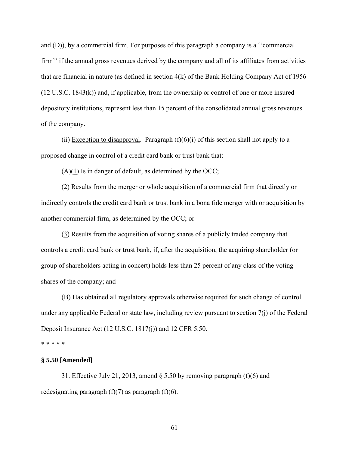and (D)), by a commercial firm. For purposes of this paragraph a company is a ''commercial firm'' if the annual gross revenues derived by the company and all of its affiliates from activities that are financial in nature (as defined in section 4(k) of the Bank Holding Company Act of 1956 (12 U.S.C. 1843(k)) and, if applicable, from the ownership or control of one or more insured depository institutions, represent less than 15 percent of the consolidated annual gross revenues of the company.

(ii) Exception to disapproval. Paragraph  $(f)(6)(i)$  of this section shall not apply to a proposed change in control of a credit card bank or trust bank that:

 $(A)(1)$  Is in danger of default, as determined by the OCC;

(2) Results from the merger or whole acquisition of a commercial firm that directly or indirectly controls the credit card bank or trust bank in a bona fide merger with or acquisition by another commercial firm, as determined by the OCC; or

(3) Results from the acquisition of voting shares of a publicly traded company that controls a credit card bank or trust bank, if, after the acquisition, the acquiring shareholder (or group of shareholders acting in concert) holds less than 25 percent of any class of the voting shares of the company; and

(B) Has obtained all regulatory approvals otherwise required for such change of control under any applicable Federal or state law, including review pursuant to section 7(j) of the Federal Deposit Insurance Act (12 U.S.C. 1817(j)) and 12 CFR 5.50.

\* \* \* \* \*

## **§ 5.50 [Amended]**

31. Effective July 21, 2013, amend  $\S$  5.50 by removing paragraph (f)(6) and redesignating paragraph  $(f)(7)$  as paragraph  $(f)(6)$ .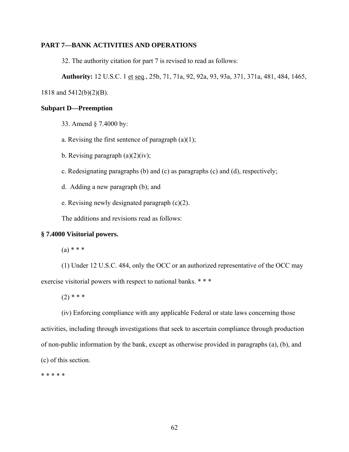## **PART 7—BANK ACTIVITIES AND OPERATIONS**

32. The authority citation for part 7 is revised to read as follows:

**Authority:** 12 U.S.C. 1 et seq., 25b, 71, 71a, 92, 92a, 93, 93a, 371, 371a, 481, 484, 1465,

1818 and 5412(b)(2)(B).

## **Subpart D—Preemption**

- 33. Amend § 7.4000 by:
- a. Revising the first sentence of paragraph  $(a)(1)$ ;
- b. Revising paragraph  $(a)(2)(iv)$ ;
- c. Redesignating paragraphs (b) and (c) as paragraphs (c) and (d), respectively;
- d. Adding a new paragraph (b); and
- e. Revising newly designated paragraph (c)(2).

The additions and revisions read as follows:

## **§ 7.4000 Visitorial powers.**

 $(a) * * * *$ 

(1) Under 12 U.S.C. 484, only the OCC or an authorized representative of the OCC may exercise visitorial powers with respect to national banks. \*\*\*

 $(2)$  \* \* \*

(iv) Enforcing compliance with any applicable Federal or state laws concerning those activities, including through investigations that seek to ascertain compliance through production of non-public information by the bank, except as otherwise provided in paragraphs (a), (b), and (c) of this section.

\* \* \* \* \*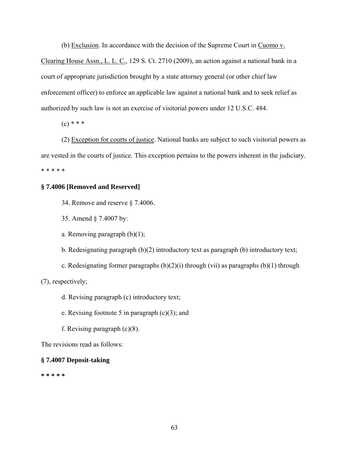(b) Exclusion. In accordance with the decision of the Supreme Court in Cuomo v.

Clearing House Assn., L. L. C., 129 S. Ct. 2710 (2009), an action against a national bank in a court of appropriate jurisdiction brought by a state attorney general (or other chief law enforcement officer) to enforce an applicable law against a national bank and to seek relief as authorized by such law is not an exercise of visitorial powers under 12 U.S.C. 484.

 $(c)$  \* \* \*

(2) Exception for courts of justice. National banks are subject to such visitorial powers as are vested in the courts of justice. This exception pertains to the powers inherent in the judiciary. \* \* \* \* \*

## **§ 7.4006 [Removed and Reserved]**

- 34. Remove and reserve § 7.4006.
- 35. Amend § 7.4007 by:
- a. Removing paragraph (b)(1);
- b. Redesignating paragraph (b)(2) introductory text as paragraph (b) introductory text;
- c. Redesignating former paragraphs  $(b)(2)(i)$  through (vii) as paragraphs  $(b)(1)$  through

(7), respectively;

- d. Revising paragraph (c) introductory text;
- e. Revising footnote 5 in paragraph  $(c)(3)$ ; and
- f. Revising paragraph  $(c)(8)$ .

The revisions read as follows:

## **§ 7.4007 Deposit-taking**

**\* \* \* \* \***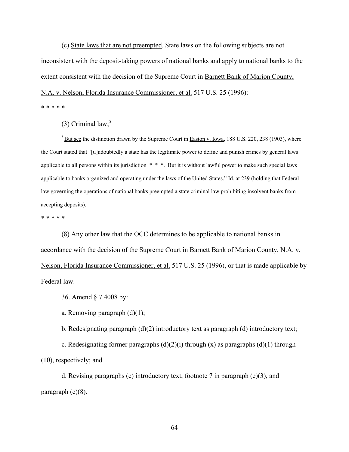(c) State laws that are not preempted. State laws on the following subjects are not inconsistent with the deposit-taking powers of national banks and apply to national banks to the extent consistent with the decision of the Supreme Court in Barnett Bank of Marion County,

N.A. v. Nelson, Florida Insurance Commissioner, et al. 517 U.S. 25 (1996):

\* \* \* \* \*

(3) Criminal law; $5$ 

5 But see the distinction drawn by the Supreme Court in Easton v. Iowa, 188 U.S. 220, 238 (1903), where the Court stated that "[u]ndoubtedly a state has the legitimate power to define and punish crimes by general laws applicable to all persons within its jurisdiction \* \* \*. But it is without lawful power to make such special laws applicable to banks organized and operating under the laws of the United States." Id. at 239 (holding that Federal law governing the operations of national banks preempted a state criminal law prohibiting insolvent banks from accepting deposits).

\* \* \* \* \*

(8) Any other law that the OCC determines to be applicable to national banks in accordance with the decision of the Supreme Court in Barnett Bank of Marion County, N.A. v. Nelson, Florida Insurance Commissioner, et al. 517 U.S. 25 (1996), or that is made applicable by Federal law.

36. Amend § 7.4008 by:

a. Removing paragraph  $(d)(1)$ ;

b. Redesignating paragraph (d)(2) introductory text as paragraph (d) introductory text;

c. Redesignating former paragraphs  $(d)(2)(i)$  through  $(x)$  as paragraphs  $(d)(1)$  through (10), respectively; and

d. Revising paragraphs (e) introductory text, footnote 7 in paragraph (e)(3), and paragraph (e)(8).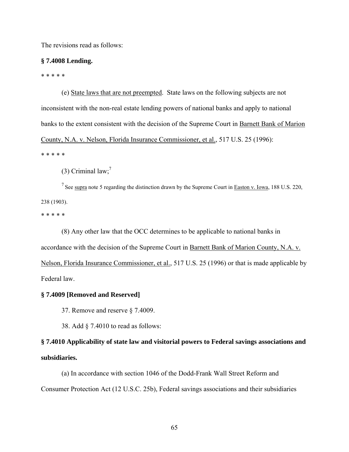The revisions read as follows:

#### **§ 7.4008 Lending.**

\* \* \* \* \*

(e) State laws that are not preempted. State laws on the following subjects are not inconsistent with the non-real estate lending powers of national banks and apply to national banks to the extent consistent with the decision of the Supreme Court in Barnett Bank of Marion County, N.A. v. Nelson, Florida Insurance Commissioner, et al., 517 U.S. 25 (1996): \* \* \* \* \*

(3) Criminal  $law$ ;<sup>7</sup>

<sup>7</sup> See supra note 5 regarding the distinction drawn by the Supreme Court in **Easton v. Iowa**, 188 U.S. 220, 238 (1903).

\* \* \* \* \*

(8) Any other law that the OCC determines to be applicable to national banks in accordance with the decision of the Supreme Court in Barnett Bank of Marion County, N.A. v. Nelson, Florida Insurance Commissioner, et al., 517 U.S. 25 (1996) or that is made applicable by Federal law.

#### **§ 7.4009 [Removed and Reserved]**

37. Remove and reserve § 7.4009.

38. Add § 7.4010 to read as follows:

## **§ 7.4010 Applicability of state law and visitorial powers to Federal savings associations and subsidiaries.**

(a) In accordance with section 1046 of the Dodd-Frank Wall Street Reform and Consumer Protection Act (12 U.S.C. 25b), Federal savings associations and their subsidiaries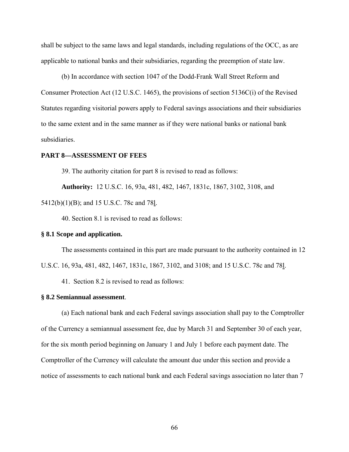shall be subject to the same laws and legal standards, including regulations of the OCC, as are applicable to national banks and their subsidiaries, regarding the preemption of state law.

(b) In accordance with section 1047 of the Dodd-Frank Wall Street Reform and Consumer Protection Act (12 U.S.C. 1465), the provisions of section 5136C(i) of the Revised Statutes regarding visitorial powers apply to Federal savings associations and their subsidiaries to the same extent and in the same manner as if they were national banks or national bank subsidiaries.

#### **PART 8—ASSESSMENT OF FEES**

39. The authority citation for part 8 is revised to read as follows:

**Authority:** 12 U.S.C. 16, 93a, 481, 482, 1467, 1831c, 1867, 3102, 3108, and 5412(b)(1)(B); and 15 U.S.C. 78c and 78l.

40. Section 8.1 is revised to read as follows:

#### **§ 8.1 Scope and application.**

The assessments contained in this part are made pursuant to the authority contained in 12 U.S.C. 16, 93a, 481, 482, 1467, 1831c, 1867, 3102, and 3108; and 15 U.S.C. 78c and 78l.

41. Section 8.2 is revised to read as follows:

#### **§ 8.2 Semiannual assessment**.

(a) Each national bank and each Federal savings association shall pay to the Comptroller of the Currency a semiannual assessment fee, due by March 31 and September 30 of each year, for the six month period beginning on January 1 and July 1 before each payment date. The Comptroller of the Currency will calculate the amount due under this section and provide a notice of assessments to each national bank and each Federal savings association no later than 7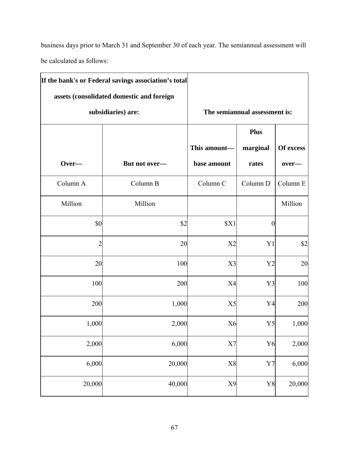business days prior to March 31 and September 30 of each year. The semiannual assessment will be calculated as follows:

|                | If the bank's or Federal savings association's total |                               |                  |           |
|----------------|------------------------------------------------------|-------------------------------|------------------|-----------|
|                | assets (consolidated domestic and foreign            |                               |                  |           |
|                | subsidiaries) are:                                   | The semiannual assessment is: |                  |           |
|                |                                                      |                               | <b>Plus</b>      |           |
|                |                                                      | This amount-                  | marginal         | Of excess |
| Over-          | But not over-                                        | base amount                   | rates            | over-     |
| Column A       | Column B                                             | Column C                      | Column D         | Column E  |
| Million        | Million                                              |                               |                  | Million   |
| \$0            | \$2                                                  | \$X1                          | $\boldsymbol{0}$ |           |
| $\overline{c}$ | 20                                                   | X2                            | Y <sub>1</sub>   | \$2       |
| 20             | 100                                                  | X3                            | Y <sub>2</sub>   | 20        |
| 100            | 200                                                  | X4                            | Y3               | 100       |
| 200            | 1,000                                                | X <sub>5</sub>                | Y4               | 200       |
| 1,000          | 2,000                                                | X <sub>6</sub>                | Y <sub>5</sub>   | 1,000     |
| 2,000          | 6,000                                                | X7                            | Y <sub>6</sub>   | 2,000     |
| 6,000          | 20,000                                               | $\rm X8$                      | $\rm Y7$         | 6,000     |
| 20,000         | 40,000                                               | X9                            | Y8               | 20,000    |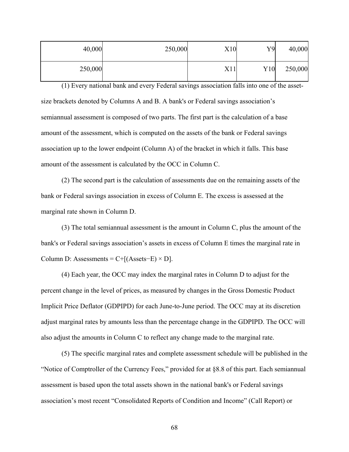| 40,000  | 250,000 | X10 | Y9  | 40,000  |
|---------|---------|-----|-----|---------|
| 250,000 |         | X11 | Y10 | 250,000 |

(1) Every national bank and every Federal savings association falls into one of the assetsize brackets denoted by Columns A and B. A bank's or Federal savings association's semiannual assessment is composed of two parts. The first part is the calculation of a base amount of the assessment, which is computed on the assets of the bank or Federal savings association up to the lower endpoint (Column A) of the bracket in which it falls. This base amount of the assessment is calculated by the OCC in Column C.

(2) The second part is the calculation of assessments due on the remaining assets of the bank or Federal savings association in excess of Column E. The excess is assessed at the marginal rate shown in Column D.

(3) The total semiannual assessment is the amount in Column C, plus the amount of the bank's or Federal savings association's assets in excess of Column E times the marginal rate in Column D: Assessments =  $C+[$ (Assets–E) × D].

(4) Each year, the OCC may index the marginal rates in Column D to adjust for the percent change in the level of prices, as measured by changes in the Gross Domestic Product Implicit Price Deflator (GDPIPD) for each June-to-June period. The OCC may at its discretion adjust marginal rates by amounts less than the percentage change in the GDPIPD. The OCC will also adjust the amounts in Column C to reflect any change made to the marginal rate.

(5) The specific marginal rates and complete assessment schedule will be published in the "Notice of Comptroller of the Currency Fees," provided for at §8.8 of this part. Each semiannual assessment is based upon the total assets shown in the national bank's or Federal savings association's most recent "Consolidated Reports of Condition and Income" (Call Report) or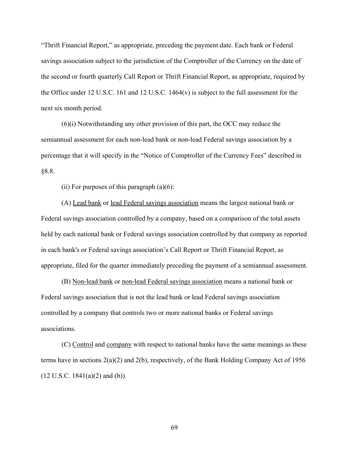"Thrift Financial Report," as appropriate, preceding the payment date. Each bank or Federal savings association subject to the jurisdiction of the Comptroller of the Currency on the date of the second or fourth quarterly Call Report or Thrift Financial Report, as appropriate, required by the Office under 12 U.S.C. 161 and 12 U.S.C. 1464(v) is subject to the full assessment for the next six month period.

(6)(i) Notwithstanding any other provision of this part, the OCC may reduce the semiannual assessment for each non-lead bank or non-lead Federal savings association by a percentage that it will specify in the "Notice of Comptroller of the Currency Fees" described in §8.8.

(ii) For purposes of this paragraph  $(a)(6)$ :

(A) Lead bank or lead Federal savings association means the largest national bank or Federal savings association controlled by a company, based on a comparison of the total assets held by each national bank or Federal savings association controlled by that company as reported in each bank's or Federal savings association's Call Report or Thrift Financial Report, as appropriate, filed for the quarter immediately preceding the payment of a semiannual assessment.

(B) Non-lead bank or non-lead Federal savings association means a national bank or Federal savings association that is not the lead bank or lead Federal savings association controlled by a company that controls two or more national banks or Federal savings associations.

(C) Control and company with respect to national banks have the same meanings as these terms have in sections 2(a)(2) and 2(b), respectively, of the Bank Holding Company Act of 1956  $(12 \text{ U.S.C. } 1841(a)(2) \text{ and } (b)).$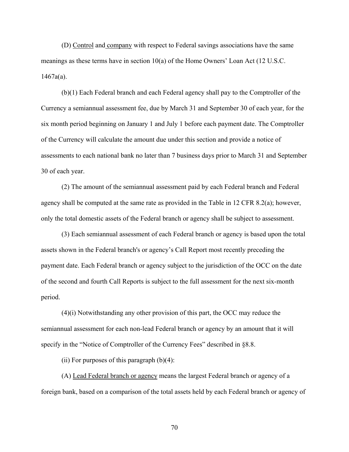(D) Control and company with respect to Federal savings associations have the same meanings as these terms have in section 10(a) of the Home Owners' Loan Act (12 U.S.C.  $1467a(a)$ .

(b)(1) Each Federal branch and each Federal agency shall pay to the Comptroller of the Currency a semiannual assessment fee, due by March 31 and September 30 of each year, for the six month period beginning on January 1 and July 1 before each payment date. The Comptroller of the Currency will calculate the amount due under this section and provide a notice of assessments to each national bank no later than 7 business days prior to March 31 and September 30 of each year.

(2) The amount of the semiannual assessment paid by each Federal branch and Federal agency shall be computed at the same rate as provided in the Table in 12 CFR 8.2(a); however, only the total domestic assets of the Federal branch or agency shall be subject to assessment.

(3) Each semiannual assessment of each Federal branch or agency is based upon the total assets shown in the Federal branch's or agency's Call Report most recently preceding the payment date. Each Federal branch or agency subject to the jurisdiction of the OCC on the date of the second and fourth Call Reports is subject to the full assessment for the next six-month period.

(4)(i) Notwithstanding any other provision of this part, the OCC may reduce the semiannual assessment for each non-lead Federal branch or agency by an amount that it will specify in the "Notice of Comptroller of the Currency Fees" described in §8.8.

(ii) For purposes of this paragraph  $(b)(4)$ :

(A) Lead Federal branch or agency means the largest Federal branch or agency of a foreign bank, based on a comparison of the total assets held by each Federal branch or agency of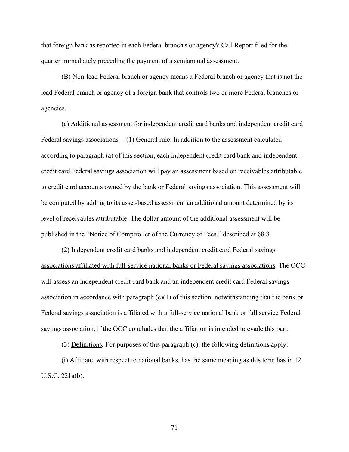that foreign bank as reported in each Federal branch's or agency's Call Report filed for the quarter immediately preceding the payment of a semiannual assessment.

(B) Non-lead Federal branch or agency means a Federal branch or agency that is not the lead Federal branch or agency of a foreign bank that controls two or more Federal branches or agencies.

(c) Additional assessment for independent credit card banks and independent credit card Federal savings associations*—* (1) General rule. In addition to the assessment calculated according to paragraph (a) of this section, each independent credit card bank and independent credit card Federal savings association will pay an assessment based on receivables attributable to credit card accounts owned by the bank or Federal savings association. This assessment will be computed by adding to its asset-based assessment an additional amount determined by its level of receivables attributable. The dollar amount of the additional assessment will be published in the "Notice of Comptroller of the Currency of Fees," described at §8.8.

(2) Independent credit card banks and independent credit card Federal savings associations affiliated with full-service national banks or Federal savings associations*.* The OCC will assess an independent credit card bank and an independent credit card Federal savings association in accordance with paragraph  $(c)(1)$  of this section, notwithstanding that the bank or Federal savings association is affiliated with a full-service national bank or full service Federal savings association, if the OCC concludes that the affiliation is intended to evade this part.

(3) Definitions*.* For purposes of this paragraph (c), the following definitions apply:

(i) Affiliate, with respect to national banks, has the same meaning as this term has in 12 U.S.C. 221a(b).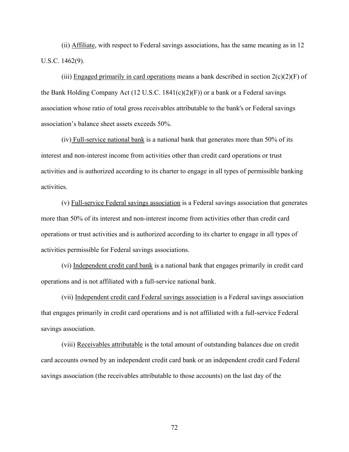(ii) Affiliate, with respect to Federal savings associations, has the same meaning as in 12 U.S.C. 1462(9).

(iii) Engaged primarily in card operations means a bank described in section  $2(c)(2)(F)$  of the Bank Holding Company Act  $(12 \text{ U.S.C. } 1841(c)(2)(F))$  or a bank or a Federal savings association whose ratio of total gross receivables attributable to the bank's or Federal savings association's balance sheet assets exceeds 50%.

(iv) Full-service national bank is a national bank that generates more than 50% of its interest and non-interest income from activities other than credit card operations or trust activities and is authorized according to its charter to engage in all types of permissible banking activities.

(v) Full-service Federal savings association is a Federal savings association that generates more than 50% of its interest and non-interest income from activities other than credit card operations or trust activities and is authorized according to its charter to engage in all types of activities permissible for Federal savings associations.

(vi) Independent credit card bank is a national bank that engages primarily in credit card operations and is not affiliated with a full-service national bank.

(vii) Independent credit card Federal savings association is a Federal savings association that engages primarily in credit card operations and is not affiliated with a full-service Federal savings association.

(viii) Receivables attributable is the total amount of outstanding balances due on credit card accounts owned by an independent credit card bank or an independent credit card Federal savings association (the receivables attributable to those accounts) on the last day of the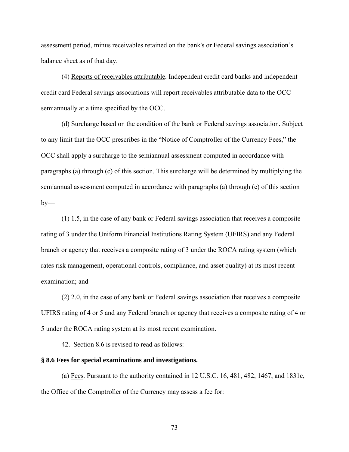assessment period, minus receivables retained on the bank's or Federal savings association's balance sheet as of that day.

(4) Reports of receivables attributable*.* Independent credit card banks and independent credit card Federal savings associations will report receivables attributable data to the OCC semiannually at a time specified by the OCC.

(d) Surcharge based on the condition of the bank or Federal savings association*.* Subject to any limit that the OCC prescribes in the "Notice of Comptroller of the Currency Fees," the OCC shall apply a surcharge to the semiannual assessment computed in accordance with paragraphs (a) through (c) of this section. This surcharge will be determined by multiplying the semiannual assessment computed in accordance with paragraphs (a) through (c) of this section  $by-$ 

(1) 1.5, in the case of any bank or Federal savings association that receives a composite rating of 3 under the Uniform Financial Institutions Rating System (UFIRS) and any Federal branch or agency that receives a composite rating of 3 under the ROCA rating system (which rates risk management, operational controls, compliance, and asset quality) at its most recent examination; and

(2) 2.0, in the case of any bank or Federal savings association that receives a composite UFIRS rating of 4 or 5 and any Federal branch or agency that receives a composite rating of 4 or 5 under the ROCA rating system at its most recent examination.

42. Section 8.6 is revised to read as follows:

#### **§ 8.6 Fees for special examinations and investigations.**

(a) Fees*.* Pursuant to the authority contained in 12 U.S.C. 16, 481, 482, 1467, and 1831c, the Office of the Comptroller of the Currency may assess a fee for: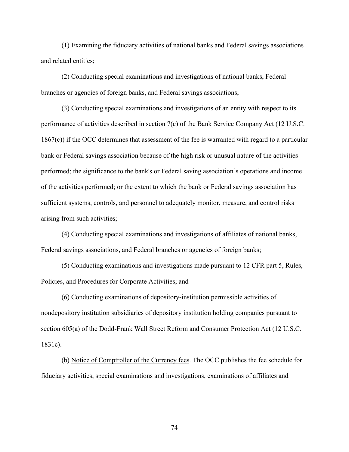(1) Examining the fiduciary activities of national banks and Federal savings associations and related entities;

(2) Conducting special examinations and investigations of national banks, Federal branches or agencies of foreign banks, and Federal savings associations;

(3) Conducting special examinations and investigations of an entity with respect to its performance of activities described in section 7(c) of the Bank Service Company Act (12 U.S.C. 1867(c)) if the OCC determines that assessment of the fee is warranted with regard to a particular bank or Federal savings association because of the high risk or unusual nature of the activities performed; the significance to the bank's or Federal saving association's operations and income of the activities performed; or the extent to which the bank or Federal savings association has sufficient systems, controls, and personnel to adequately monitor, measure, and control risks arising from such activities;

(4) Conducting special examinations and investigations of affiliates of national banks, Federal savings associations, and Federal branches or agencies of foreign banks;

(5) Conducting examinations and investigations made pursuant to 12 CFR part 5, Rules, Policies, and Procedures for Corporate Activities; and

(6) Conducting examinations of depository-institution permissible activities of nondepository institution subsidiaries of depository institution holding companies pursuant to section 605(a) of the Dodd-Frank Wall Street Reform and Consumer Protection Act (12 U.S.C. 1831c).

(b) Notice of Comptroller of the Currency fees*.* The OCC publishes the fee schedule for fiduciary activities, special examinations and investigations, examinations of affiliates and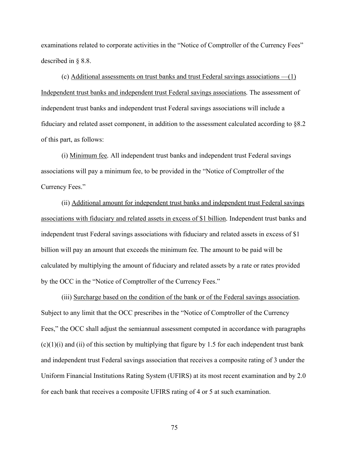examinations related to corporate activities in the "Notice of Comptroller of the Currency Fees" described in § 8.8.

(c) Additional assessments on trust banks and trust Federal savings associations —(1) Independent trust banks and independent trust Federal savings associations*.* The assessment of independent trust banks and independent trust Federal savings associations will include a fiduciary and related asset component, in addition to the assessment calculated according to §8.2 of this part, as follows:

(i) Minimum fee*.* All independent trust banks and independent trust Federal savings associations will pay a minimum fee, to be provided in the "Notice of Comptroller of the Currency Fees."

(ii) Additional amount for independent trust banks and independent trust Federal savings associations with fiduciary and related assets in excess of \$1 billion*.* Independent trust banks and independent trust Federal savings associations with fiduciary and related assets in excess of \$1 billion will pay an amount that exceeds the minimum fee. The amount to be paid will be calculated by multiplying the amount of fiduciary and related assets by a rate or rates provided by the OCC in the "Notice of Comptroller of the Currency Fees."

(iii) Surcharge based on the condition of the bank or of the Federal savings association*.*  Subject to any limit that the OCC prescribes in the "Notice of Comptroller of the Currency Fees," the OCC shall adjust the semiannual assessment computed in accordance with paragraphs  $(c)(1)(i)$  and  $(ii)$  of this section by multiplying that figure by 1.5 for each independent trust bank and independent trust Federal savings association that receives a composite rating of 3 under the Uniform Financial Institutions Rating System (UFIRS) at its most recent examination and by 2.0 for each bank that receives a composite UFIRS rating of 4 or 5 at such examination.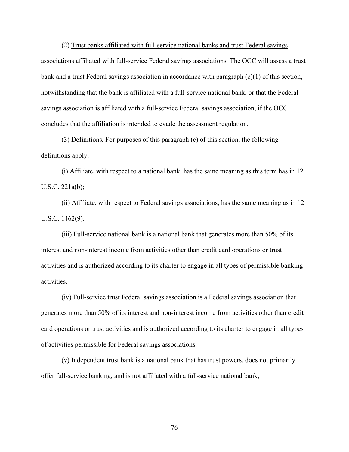(2) Trust banks affiliated with full-service national banks and trust Federal savings associations affiliated with full-service Federal savings associations*.* The OCC will assess a trust bank and a trust Federal savings association in accordance with paragraph (c)(1) of this section, notwithstanding that the bank is affiliated with a full-service national bank, or that the Federal savings association is affiliated with a full-service Federal savings association, if the OCC concludes that the affiliation is intended to evade the assessment regulation.

(3) Definitions*.* For purposes of this paragraph (c) of this section, the following definitions apply:

(i) Affiliate*,* with respect to a national bank, has the same meaning as this term has in 12 U.S.C. 221a(b);

(ii) Affiliate, with respect to Federal savings associations, has the same meaning as in 12 U.S.C. 1462(9).

(iii) Full-service national bank is a national bank that generates more than 50% of its interest and non-interest income from activities other than credit card operations or trust activities and is authorized according to its charter to engage in all types of permissible banking activities.

(iv) Full-service trust Federal savings association is a Federal savings association that generates more than 50% of its interest and non-interest income from activities other than credit card operations or trust activities and is authorized according to its charter to engage in all types of activities permissible for Federal savings associations.

(v) Independent trust bank is a national bank that has trust powers, does not primarily offer full-service banking, and is not affiliated with a full-service national bank;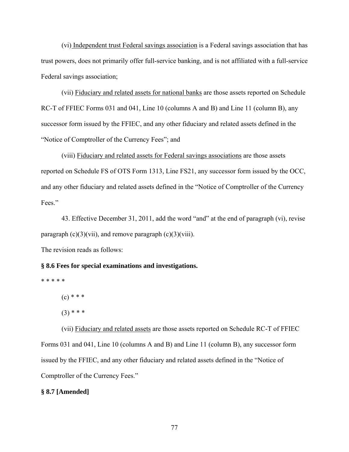(vi) Independent trust Federal savings association is a Federal savings association that has trust powers, does not primarily offer full-service banking, and is not affiliated with a full-service Federal savings association;

(vii) Fiduciary and related assets for national banks are those assets reported on Schedule RC-T of FFIEC Forms 031 and 041, Line 10 (columns A and B) and Line 11 (column B), any successor form issued by the FFIEC, and any other fiduciary and related assets defined in the "Notice of Comptroller of the Currency Fees"; and

(viii) Fiduciary and related assets for Federal savings associations are those assets reported on Schedule FS of OTS Form 1313, Line FS21, any successor form issued by the OCC, and any other fiduciary and related assets defined in the "Notice of Comptroller of the Currency Fees."

43. Effective December 31, 2011, add the word "and" at the end of paragraph (vi), revise paragraph  $(c)(3)(vii)$ , and remove paragraph  $(c)(3)(viii)$ .

The revision reads as follows:

## **§ 8.6 Fees for special examinations and investigations.**

\* \* \* \* \*

 $(c)$  \* \* \*

 $(3)$  \* \* \*

(vii) Fiduciary and related assets are those assets reported on Schedule RC-T of FFIEC Forms 031 and 041, Line 10 (columns A and B) and Line 11 (column B), any successor form issued by the FFIEC, and any other fiduciary and related assets defined in the "Notice of Comptroller of the Currency Fees."

# **§ 8.7 [Amended]**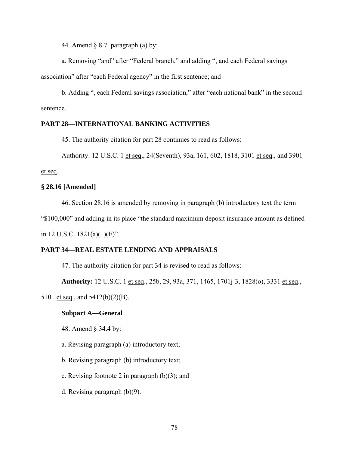44. Amend § 8.7. paragraph (a) by:

a. Removing "and" after "Federal branch," and adding ", and each Federal savings association" after "each Federal agency" in the first sentence; and

b. Adding ", each Federal savings association," after "each national bank" in the second sentence.

# **PART 28—INTERNATIONAL BANKING ACTIVITIES**

45. The authority citation for part 28 continues to read as follows:

Authority: 12 U.S.C. 1 et seq**.**, 24(Seventh), 93a, 161, 602, 1818, 3101 et seq., and 3901

et seq.

## **§ 28.16 [Amended]**

46. Section 28.16 is amended by removing in paragraph (b) introductory text the term

"\$100,000" and adding in its place "the standard maximum deposit insurance amount as defined

in 12 U.S.C. 1821(a)(1)(E)".

## **PART 34—REAL ESTATE LENDING AND APPRAISALS**

47. The authority citation for part 34 is revised to read as follows:

**Authority:** 12 U.S.C. 1 et seq., 25b, 29, 93a, 371, 1465, 1701j-3, 1828(o), 3331 et seq., 5101 et seq., and 5412(b)(2)(B).

## **Subpart A—General**

48. Amend § 34.4 by:

a. Revising paragraph (a) introductory text;

b. Revising paragraph (b) introductory text;

c. Revising footnote 2 in paragraph  $(b)(3)$ ; and

d. Revising paragraph (b)(9).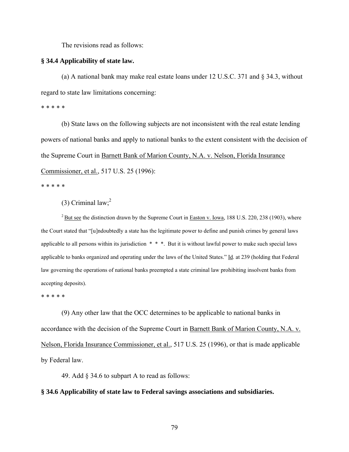The revisions read as follows:

#### **§ 34.4 Applicability of state law.**

(a) A national bank may make real estate loans under 12 U.S.C. 371 and § 34.3, without regard to state law limitations concerning:

\* \* \* \* \*

(b) State laws on the following subjects are not inconsistent with the real estate lending powers of national banks and apply to national banks to the extent consistent with the decision of the Supreme Court in Barnett Bank of Marion County, N.A. v. Nelson, Florida Insurance Commissioner, et al., 517 U.S. 25 (1996):

\* \* \* \* \*

(3) Criminal  $law$ ;<sup>2</sup>

<sup>2</sup> But see the distinction drawn by the Supreme Court in Easton v. Iowa, 188 U.S. 220, 238 (1903), where the Court stated that "[u]ndoubtedly a state has the legitimate power to define and punish crimes by general laws applicable to all persons within its jurisdiction \* \* \*. But it is without lawful power to make such special laws applicable to banks organized and operating under the laws of the United States." Id. at 239 (holding that Federal law governing the operations of national banks preempted a state criminal law prohibiting insolvent banks from accepting deposits).

\* \* \* \* \*

(9) Any other law that the OCC determines to be applicable to national banks in accordance with the decision of the Supreme Court in Barnett Bank of Marion County, N.A. v. Nelson, Florida Insurance Commissioner, et al., 517 U.S. 25 (1996), or that is made applicable by Federal law.

49. Add § 34.6 to subpart A to read as follows:

#### **§ 34.6 Applicability of state law to Federal savings associations and subsidiaries.**